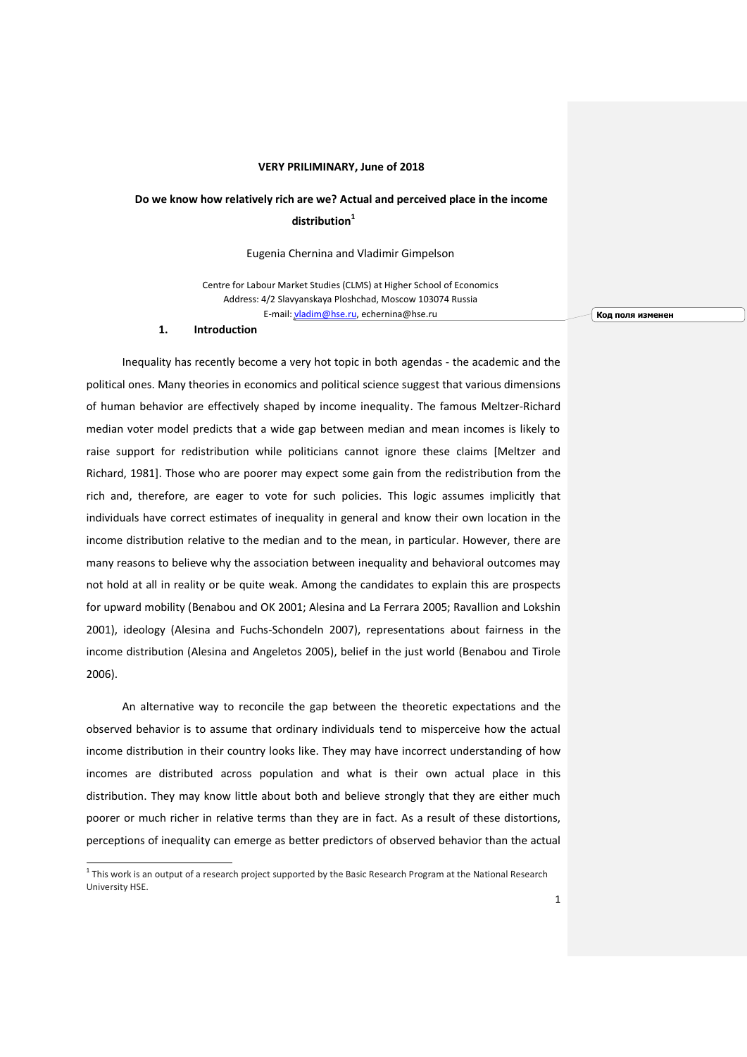## **VERY PRILIMINARY, June of 2018**

## **Do we know how relatively rich are we? Actual and perceived place in the income distribution<sup>1</sup>**

## Eugenia Chernina and Vladimir Gimpelson

Centre for Labour Market Studies (CLMS) at Higher School of Economics Address: 4/2 Slavyanskaya Ploshchad, Moscow 103074 Russia E-mail: [vladim@hse.ru,](mailto:vladim@hse.ru) echernina@hse.ru

**Код поля изменен**

#### **1. Introduction**

Inequality has recently become a very hot topic in both agendas - the academic and the political ones. Many theories in economics and political science suggest that various dimensions of human behavior are effectively shaped by income inequality. The famous Meltzer-Richard median voter model predicts that a wide gap between median and mean incomes is likely to raise support for redistribution while politicians cannot ignore these claims [Meltzer and Richard, 1981]. Those who are poorer may expect some gain from the redistribution from the rich and, therefore, are eager to vote for such policies. This logic assumes implicitly that individuals have correct estimates of inequality in general and know their own location in the income distribution relative to the median and to the mean, in particular. However, there are many reasons to believe why the association between inequality and behavioral outcomes may not hold at all in reality or be quite weak. Among the candidates to explain this are prospects for upward mobility (Benabou and OK 2001; Alesina and La Ferrara 2005; Ravallion and Lokshin 2001), ideology (Alesina and Fuchs-Schondeln 2007), representations about fairness in the income distribution (Alesina and Angeletos 2005), belief in the just world (Benabou and Tirole 2006).

An alternative way to reconcile the gap between the theoretic expectations and the observed behavior is to assume that ordinary individuals tend to misperceive how the actual income distribution in their country looks like. They may have incorrect understanding of how incomes are distributed across population and what is their own actual place in this distribution. They may know little about both and believe strongly that they are either much poorer or much richer in relative terms than they are in fact. As a result of these distortions, perceptions of inequality can emerge as better predictors of observed behavior than the actual

 1 This work is an output of a research project supported by the Basic Research Program at the National Research University HSE.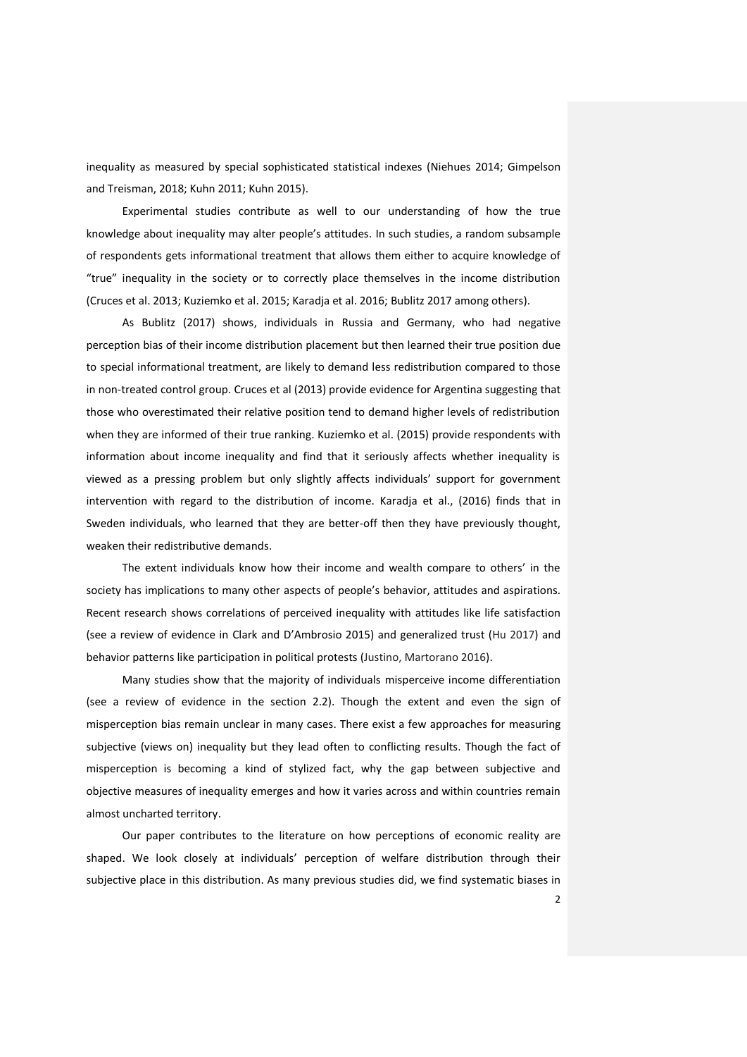inequality as measured by special sophisticated statistical indexes (Niehues 2014; Gimpelson and Treisman, 2018; Kuhn 2011; Kuhn 2015).

Experimental studies contribute as well to our understanding of how the true knowledge about inequality may alter people's attitudes. In such studies, a random subsample of respondents gets informational treatment that allows them either to acquire knowledge of "true" inequality in the society or to correctly place themselves in the income distribution (Cruces et al. 2013; Kuziemko et al. 2015; Karadja et al. 2016; Bublitz 2017 among others).

As Bublitz (2017) shows, individuals in Russia and Germany, who had negative perception bias of their income distribution placement but then learned their true position due to special informational treatment, are likely to demand less redistribution compared to those in non-treated control group. Cruces et al (2013) provide evidence for Argentina suggesting that those who overestimated their relative position tend to demand higher levels of redistribution when they are informed of their true ranking. Kuziemko et al. (2015) provide respondents with information about income inequality and find that it seriously affects whether inequality is viewed as a pressing problem but only slightly affects individuals' support for government intervention with regard to the distribution of income. Karadja et al., (2016) finds that in Sweden individuals, who learned that they are better-off then they have previously thought, weaken their redistributive demands.

The extent individuals know how their income and wealth compare to others' in the society has implications to many other aspects of people's behavior, attitudes and aspirations. Recent research shows correlations of perceived inequality with attitudes like life satisfaction (see a review of evidence in Clark and D'Ambrosio 2015) and generalized trust (Hu 2017) and behavior patterns like participation in political protests (Justino, Martorano 2016).

Many studies show that the majority of individuals misperceive income differentiation (see a review of evidence in the section 2.2). Though the extent and even the sign of misperception bias remain unclear in many cases. There exist a few approaches for measuring subjective (views on) inequality but they lead often to conflicting results. Though the fact of misperception is becoming a kind of stylized fact, why the gap between subjective and objective measures of inequality emerges and how it varies across and within countries remain almost uncharted territory.

Our paper contributes to the literature on how perceptions of economic reality are shaped. We look closely at individuals' perception of welfare distribution through their subjective place in this distribution. As many previous studies did, we find systematic biases in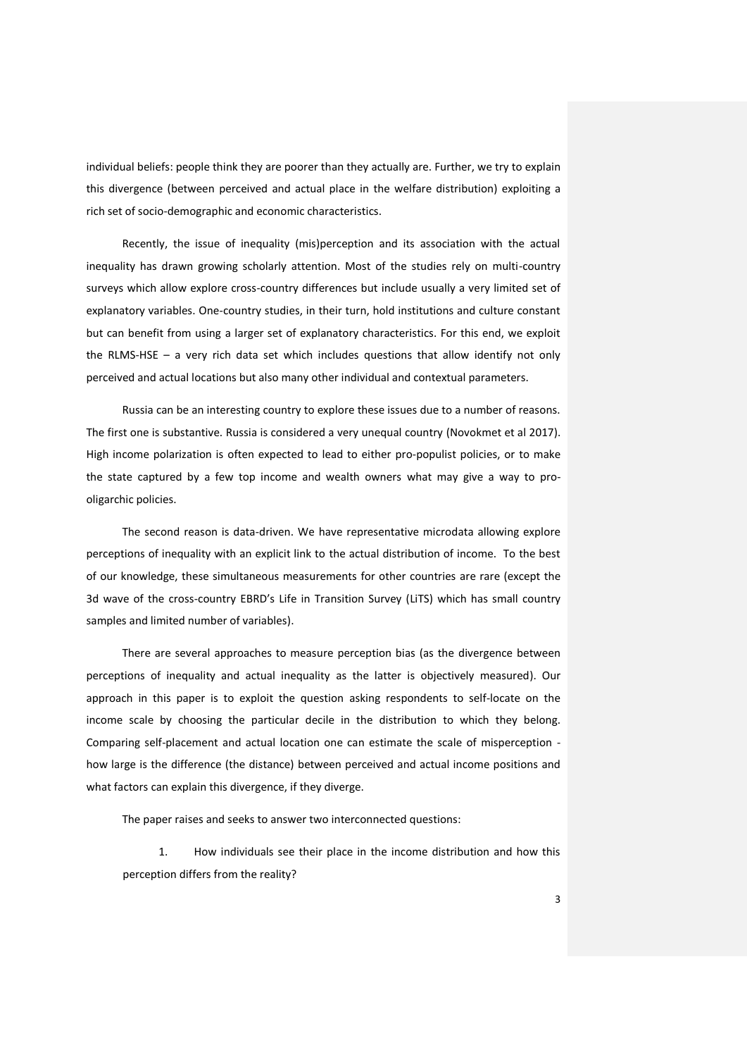individual beliefs: people think they are poorer than they actually are. Further, we try to explain this divergence (between perceived and actual place in the welfare distribution) exploiting a rich set of socio-demographic and economic characteristics.

Recently, the issue of inequality (mis)perception and its association with the actual inequality has drawn growing scholarly attention. Most of the studies rely on multi-country surveys which allow explore cross-country differences but include usually a very limited set of explanatory variables. One-country studies, in their turn, hold institutions and culture constant but can benefit from using a larger set of explanatory characteristics. For this end, we exploit the RLMS-HSE – a very rich data set which includes questions that allow identify not only perceived and actual locations but also many other individual and contextual parameters.

Russia can be an interesting country to explore these issues due to a number of reasons. The first one is substantive. Russia is considered a very unequal country (Novokmet et al 2017). High income polarization is often expected to lead to either pro-populist policies, or to make the state captured by a few top income and wealth owners what may give a way to prooligarchic policies.

The second reason is data-driven. We have representative microdata allowing explore perceptions of inequality with an explicit link to the actual distribution of income. To the best of our knowledge, these simultaneous measurements for other countries are rare (except the 3d wave of the cross-country EBRD's Life in Transition Survey (LiTS) which has small country samples and limited number of variables).

There are several approaches to measure perception bias (as the divergence between perceptions of inequality and actual inequality as the latter is objectively measured). Our approach in this paper is to exploit the question asking respondents to self-locate on the income scale by choosing the particular decile in the distribution to which they belong. Comparing self-placement and actual location one can estimate the scale of misperception how large is the difference (the distance) between perceived and actual income positions and what factors can explain this divergence, if they diverge.

The paper raises and seeks to answer two interconnected questions:

1. How individuals see their place in the income distribution and how this perception differs from the reality?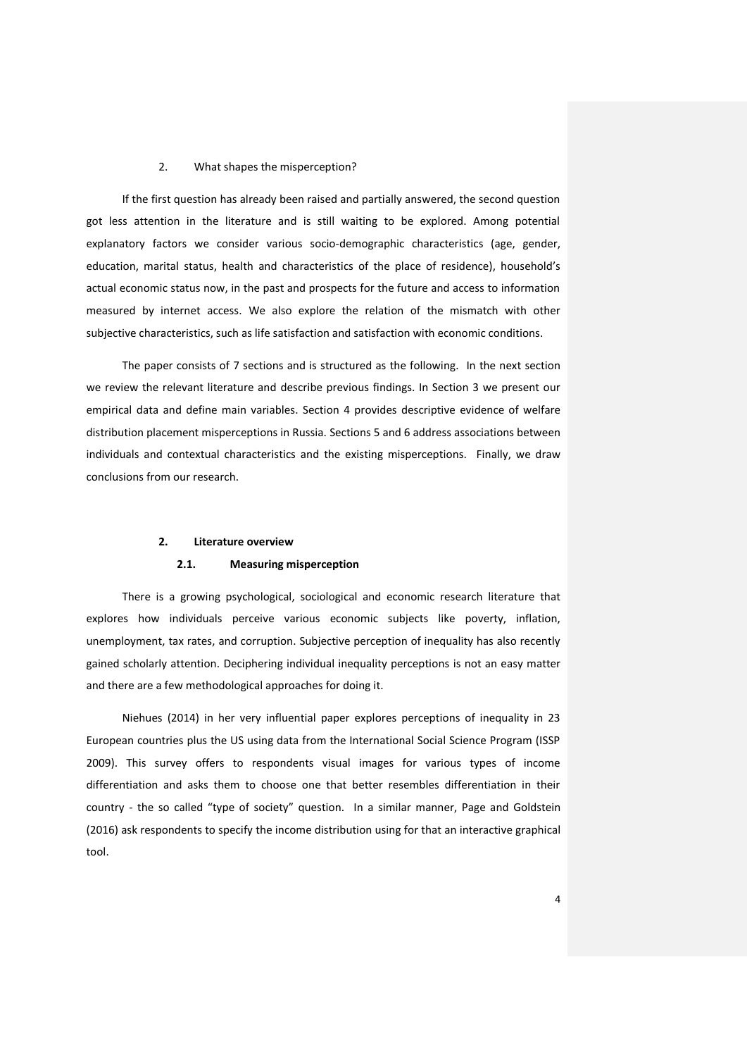## 2. What shapes the misperception?

If the first question has already been raised and partially answered, the second question got less attention in the literature and is still waiting to be explored. Among potential explanatory factors we consider various socio-demographic characteristics (age, gender, education, marital status, health and characteristics of the place of residence), household's actual economic status now, in the past and prospects for the future and access to information measured by internet access. We also explore the relation of the mismatch with other subjective characteristics, such as life satisfaction and satisfaction with economic conditions.

The paper consists of 7 sections and is structured as the following. In the next section we review the relevant literature and describe previous findings. In Section 3 we present our empirical data and define main variables. Section 4 provides descriptive evidence of welfare distribution placement misperceptions in Russia. Sections 5 and 6 address associations between individuals and contextual characteristics and the existing misperceptions. Finally, we draw conclusions from our research.

#### **2. Literature overview**

#### **2.1. Measuring misperception**

There is a growing psychological, sociological and economic research literature that explores how individuals perceive various economic subjects like poverty, inflation, unemployment, tax rates, and corruption. Subjective perception of inequality has also recently gained scholarly attention. Deciphering individual inequality perceptions is not an easy matter and there are a few methodological approaches for doing it.

Niehues (2014) in her very influential paper explores perceptions of inequality in 23 European countries plus the US using data from the International Social Science Program (ISSP 2009). This survey offers to respondents visual images for various types of income differentiation and asks them to choose one that better resembles differentiation in their country - the so called "type of society" question. In a similar manner, Page and Goldstein (2016) ask respondents to specify the income distribution using for that an interactive graphical tool.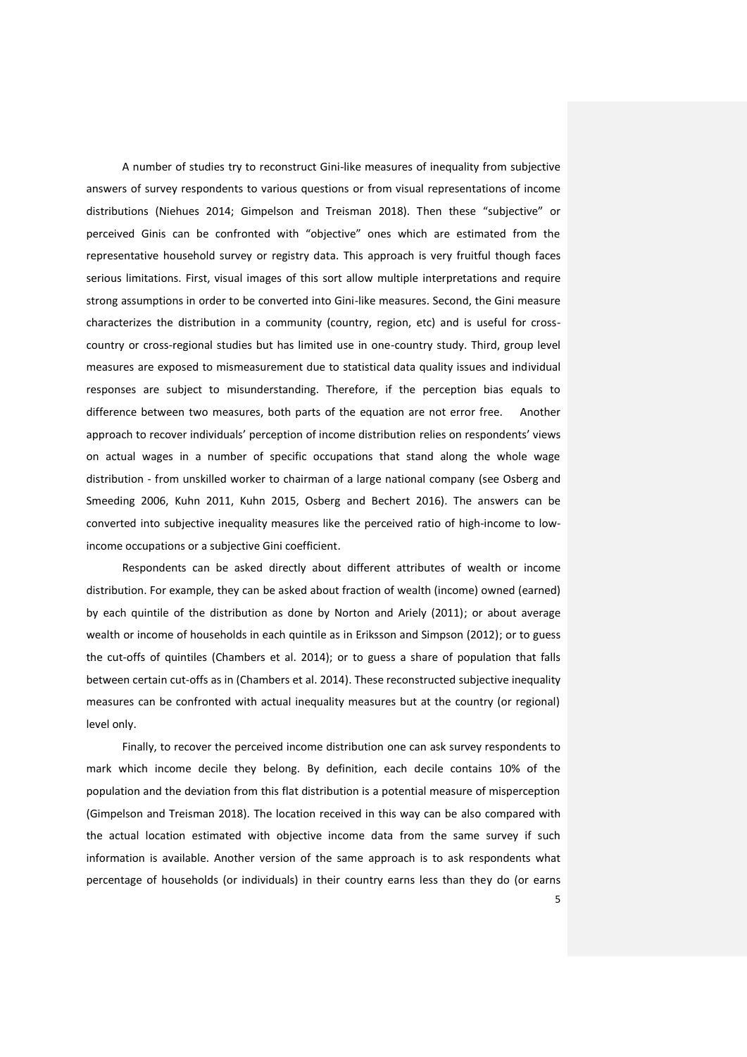A number of studies try to reconstruct Gini-like measures of inequality from subjective answers of survey respondents to various questions or from visual representations of income distributions (Niehues 2014; Gimpelson and Treisman 2018). Then these "subjective" or perceived Ginis can be confronted with "objective" ones which are estimated from the representative household survey or registry data. This approach is very fruitful though faces serious limitations. First, visual images of this sort allow multiple interpretations and require strong assumptions in order to be converted into Gini-like measures. Second, the Gini measure characterizes the distribution in a community (country, region, etc) and is useful for crosscountry or cross-regional studies but has limited use in one-country study. Third, group level measures are exposed to mismeasurement due to statistical data quality issues and individual responses are subject to misunderstanding. Therefore, if the perception bias equals to difference between two measures, both parts of the equation are not error free. Another approach to recover individuals' perception of income distribution relies on respondents' views on actual wages in a number of specific occupations that stand along the whole wage distribution - from unskilled worker to chairman of a large national company (see Osberg and Smeeding 2006, Kuhn 2011, Kuhn 2015, Osberg and Bechert 2016). The answers can be converted into subjective inequality measures like the perceived ratio of high-income to lowincome occupations or a subjective Gini coefficient.

Respondents can be asked directly about different attributes of wealth or income distribution. For example, they can be asked about fraction of wealth (income) owned (earned) by each quintile of the distribution as done by Norton and Ariely (2011); or about average wealth or income of households in each quintile as in Eriksson and Simpson (2012); or to guess the cut-offs of quintiles (Chambers et al. 2014); or to guess a share of population that falls between certain cut-offs as in (Chambers et al. 2014). These reconstructed subjective inequality measures can be confronted with actual inequality measures but at the country (or regional) level only.

Finally, to recover the perceived income distribution one can ask survey respondents to mark which income decile they belong. By definition, each decile contains 10% of the population and the deviation from this flat distribution is a potential measure of misperception (Gimpelson and Treisman 2018). The location received in this way can be also compared with the actual location estimated with objective income data from the same survey if such information is available. Another version of the same approach is to ask respondents what percentage of households (or individuals) in their country earns less than they do (or earns

5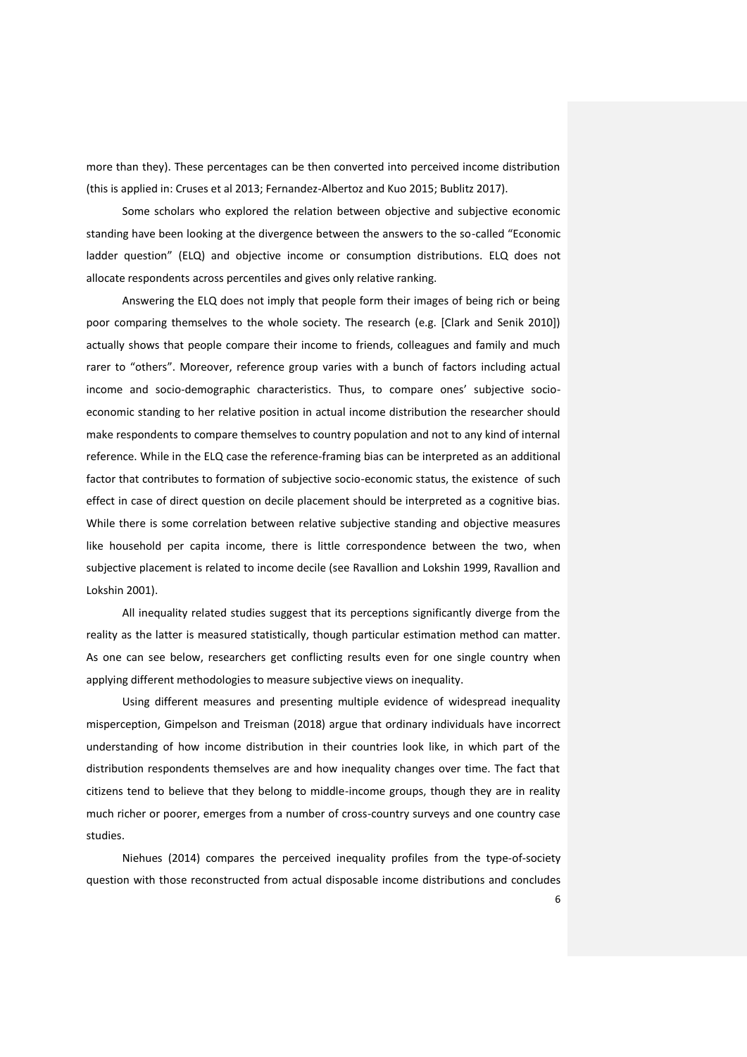more than they). These percentages can be then converted into perceived income distribution (this is applied in: Cruses et al 2013; Fernandez-Albertoz and Kuo 2015; Bublitz 2017).

Some scholars who explored the relation between objective and subjective economic standing have been looking at the divergence between the answers to the so-called "Economic ladder question" (ELQ) and objective income or consumption distributions. ELQ does not allocate respondents across percentiles and gives only relative ranking.

Answering the ELQ does not imply that people form their images of being rich or being poor comparing themselves to the whole society. The research (e.g. [Clark and Senik 2010]) actually shows that people compare their income to friends, colleagues and family and much rarer to "others". Moreover, reference group varies with a bunch of factors including actual income and socio-demographic characteristics. Thus, to compare ones' subjective socioeconomic standing to her relative position in actual income distribution the researcher should make respondents to compare themselves to country population and not to any kind of internal reference. While in the ELQ case the reference-framing bias can be interpreted as an additional factor that contributes to formation of subjective socio-economic status, the existence of such effect in case of direct question on decile placement should be interpreted as a cognitive bias. While there is some correlation between relative subjective standing and objective measures like household per capita income, there is little correspondence between the two, when subjective placement is related to income decile (see Ravallion and Lokshin 1999, Ravallion and Lokshin 2001).

All inequality related studies suggest that its perceptions significantly diverge from the reality as the latter is measured statistically, though particular estimation method can matter. As one can see below, researchers get conflicting results even for one single country when applying different methodologies to measure subjective views on inequality.

Using different measures and presenting multiple evidence of widespread inequality misperception, Gimpelson and Treisman (2018) argue that ordinary individuals have incorrect understanding of how income distribution in their countries look like, in which part of the distribution respondents themselves are and how inequality changes over time. The fact that citizens tend to believe that they belong to middle-income groups, though they are in reality much richer or poorer, emerges from a number of cross-country surveys and one country case studies.

Niehues (2014) compares the perceived inequality profiles from the type-of-society question with those reconstructed from actual disposable income distributions and concludes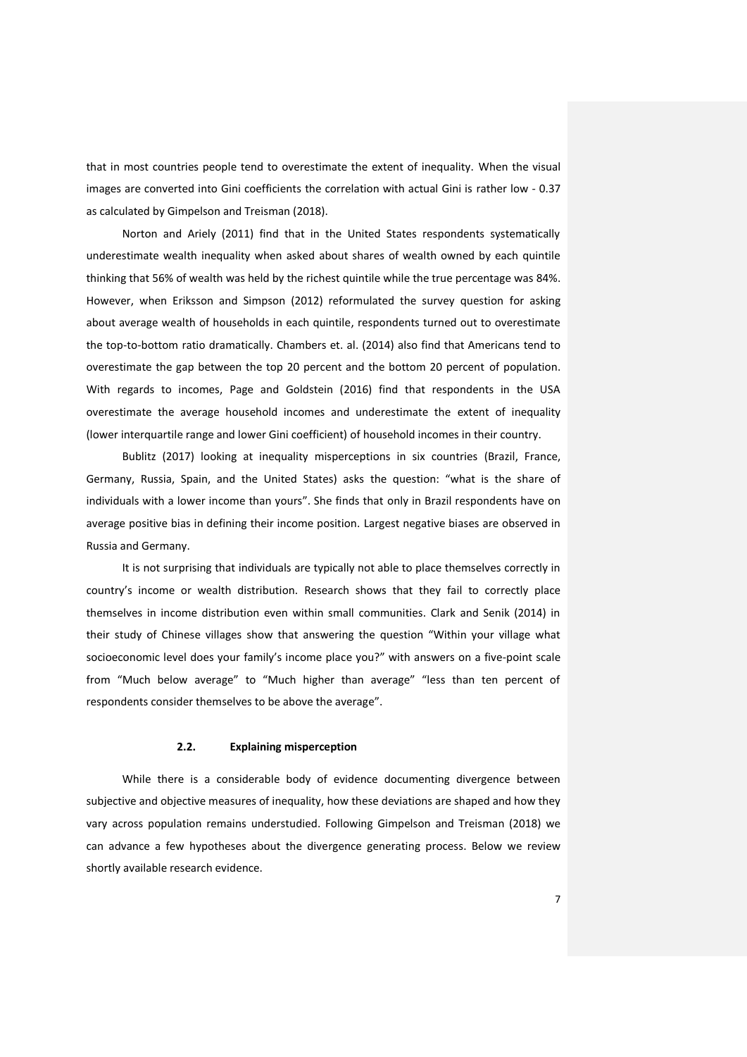that in most countries people tend to overestimate the extent of inequality. When the visual images are converted into Gini coefficients the correlation with actual Gini is rather low - 0.37 as calculated by Gimpelson and Treisman (2018).

Norton and Ariely (2011) find that in the United States respondents systematically underestimate wealth inequality when asked about shares of wealth owned by each quintile thinking that 56% of wealth was held by the richest quintile while the true percentage was 84%. However, when Eriksson and Simpson (2012) reformulated the survey question for asking about average wealth of households in each quintile, respondents turned out to overestimate the top-to-bottom ratio dramatically. Chambers et. al. (2014) also find that Americans tend to overestimate the gap between the top 20 percent and the bottom 20 percent of population. With regards to incomes, Page and Goldstein (2016) find that respondents in the USA overestimate the average household incomes and underestimate the extent of inequality (lower interquartile range and lower Gini coefficient) of household incomes in their country.

Bublitz (2017) looking at inequality misperceptions in six countries (Brazil, France, Germany, Russia, Spain, and the United States) asks the question: "what is the share of individuals with a lower income than yours". She finds that only in Brazil respondents have on average positive bias in defining their income position. Largest negative biases are observed in Russia and Germany.

It is not surprising that individuals are typically not able to place themselves correctly in country's income or wealth distribution. Research shows that they fail to correctly place themselves in income distribution even within small communities. Clark and Senik (2014) in their study of Chinese villages show that answering the question "Within your village what socioeconomic level does your family's income place you?" with answers on a five-point scale from "Much below average" to "Much higher than average" "less than ten percent of respondents consider themselves to be above the average".

## **2.2. Explaining misperception**

While there is a considerable body of evidence documenting divergence between subjective and objective measures of inequality, how these deviations are shaped and how they vary across population remains understudied. Following Gimpelson and Treisman (2018) we can advance a few hypotheses about the divergence generating process. Below we review shortly available research evidence.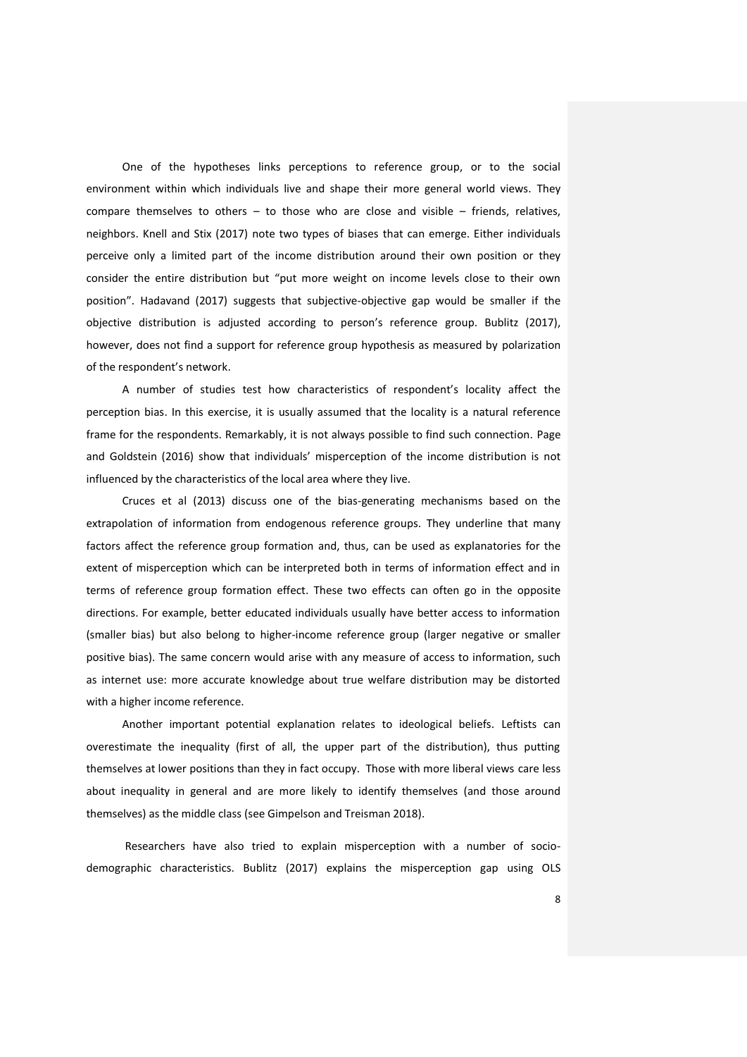One of the hypotheses links perceptions to reference group, or to the social environment within which individuals live and shape their more general world views. They compare themselves to others – to those who are close and visible – friends, relatives, neighbors. Knell and Stix (2017) note two types of biases that can emerge. Either individuals perceive only a limited part of the income distribution around their own position or they consider the entire distribution but "put more weight on income levels close to their own position". Hadavand (2017) suggests that subjective-objective gap would be smaller if the objective distribution is adjusted according to person's reference group. Bublitz (2017), however, does not find a support for reference group hypothesis as measured by polarization of the respondent's network.

A number of studies test how characteristics of respondent's locality affect the perception bias. In this exercise, it is usually assumed that the locality is a natural reference frame for the respondents. Remarkably, it is not always possible to find such connection. Page and Goldstein (2016) show that individuals' misperception of the income distribution is not influenced by the characteristics of the local area where they live.

Cruces et al (2013) discuss one of the bias-generating mechanisms based on the extrapolation of information from endogenous reference groups. They underline that many factors affect the reference group formation and, thus, can be used as explanatories for the extent of misperception which can be interpreted both in terms of information effect and in terms of reference group formation effect. These two effects can often go in the opposite directions. For example, better educated individuals usually have better access to information (smaller bias) but also belong to higher-income reference group (larger negative or smaller positive bias). The same concern would arise with any measure of access to information, such as internet use: more accurate knowledge about true welfare distribution may be distorted with a higher income reference.

Another important potential explanation relates to ideological beliefs. Leftists can overestimate the inequality (first of all, the upper part of the distribution), thus putting themselves at lower positions than they in fact occupy. Those with more liberal views care less about inequality in general and are more likely to identify themselves (and those around themselves) as the middle class (see Gimpelson and Treisman 2018).

Researchers have also tried to explain misperception with a number of sociodemographic characteristics. Bublitz (2017) explains the misperception gap using OLS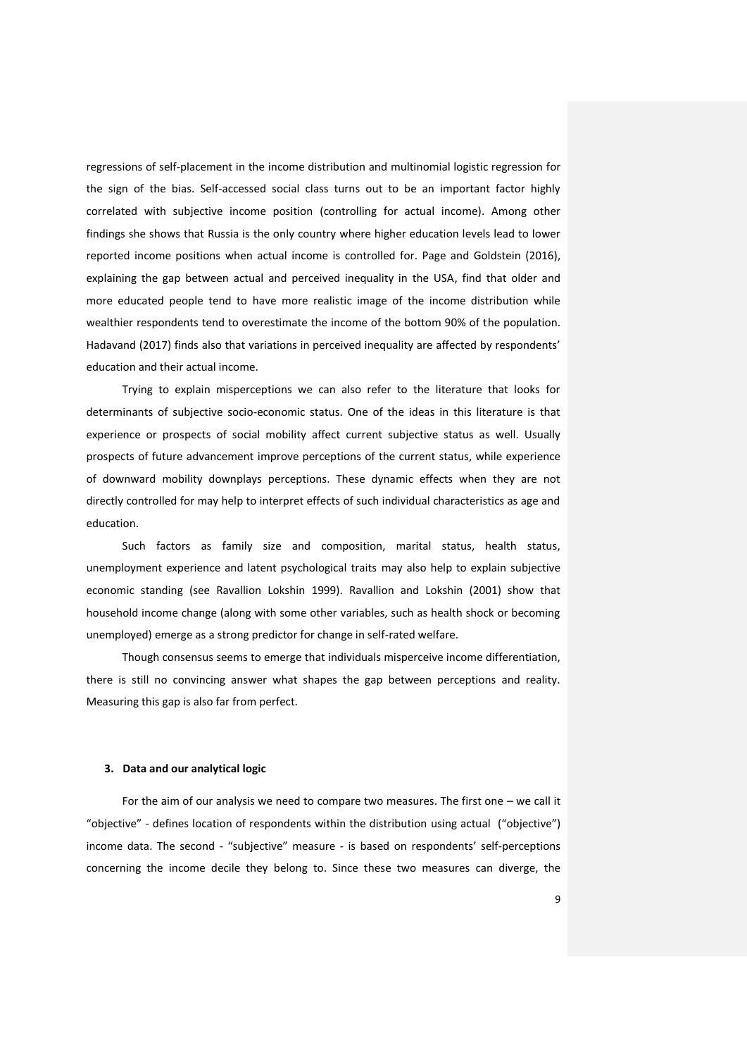regressions of self-placement in the income distribution and multinomial logistic regression for the sign of the bias. Self-accessed social class turns out to be an important factor highly correlated with subjective income position (controlling for actual income). Among other findings she shows that Russia is the only country where higher education levels lead to lower reported income positions when actual income is controlled for. Page and Goldstein (2016), explaining the gap between actual and perceived inequality in the USA, find that older and more educated people tend to have more realistic image of the income distribution while wealthier respondents tend to overestimate the income of the bottom 90% of the population. Hadavand (2017) finds also that variations in perceived inequality are affected by respondents' education and their actual income.

Trying to explain misperceptions we can also refer to the literature that looks for determinants of subjective socio-economic status. One of the ideas in this literature is that experience or prospects of social mobility affect current subjective status as well. Usually prospects of future advancement improve perceptions of the current status, while experience of downward mobility downplays perceptions. These dynamic effects when they are not directly controlled for may help to interpret effects of such individual characteristics as age and education.

Such factors as family size and composition, marital status, health status, unemployment experience and latent psychological traits may also help to explain subjective economic standing (see Ravallion Lokshin 1999). Ravallion and Lokshin (2001) show that household income change (along with some other variables, such as health shock or becoming unemployed) emerge as a strong predictor for change in self-rated welfare.

Though consensus seems to emerge that individuals misperceive income differentiation, there is still no convincing answer what shapes the gap between perceptions and reality. Measuring this gap is also far from perfect.

## **3. Data and our analytical logic**

For the aim of our analysis we need to compare two measures. The first one – we call it "objective" - defines location of respondents within the distribution using actual ("objective") income data. The second - "subjective" measure - is based on respondents' self-perceptions concerning the income decile they belong to. Since these two measures can diverge, the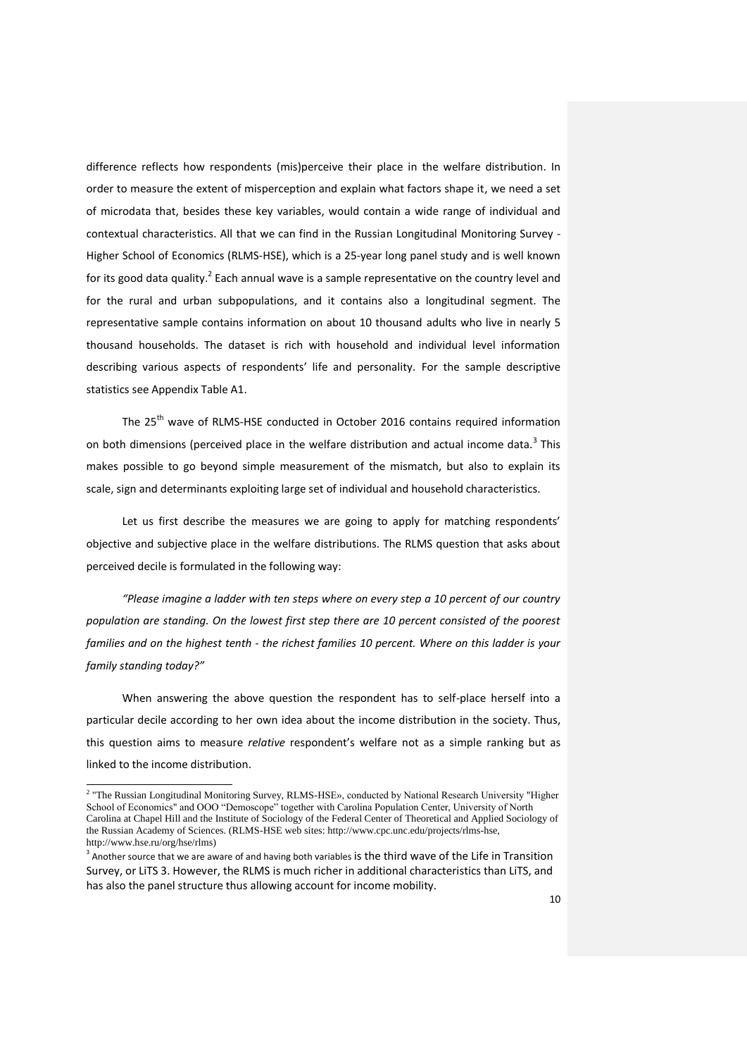difference reflects how respondents (mis)perceive their place in the welfare distribution. In order to measure the extent of misperception and explain what factors shape it, we need a set of microdata that, besides these key variables, would contain a wide range of individual and contextual characteristics. All that we can find in the Russian Longitudinal Monitoring Survey - Higher School of Economics (RLMS-HSE), which is a 25-year long panel study and is well known for its good data quality.<sup>2</sup> Each annual wave is a sample representative on the country level and for the rural and urban subpopulations, and it contains also a longitudinal segment. The representative sample contains information on about 10 thousand adults who live in nearly 5 thousand households. The dataset is rich with household and individual level information describing various aspects of respondents' life and personality. For the sample descriptive statistics see Appendix Table A1.

The 25<sup>th</sup> wave of RLMS-HSE conducted in October 2016 contains required information on both dimensions (perceived place in the welfare distribution and actual income data. $^3$  This makes possible to go beyond simple measurement of the mismatch, but also to explain its scale, sign and determinants exploiting large set of individual and household characteristics.

Let us first describe the measures we are going to apply for matching respondents' objective and subjective place in the welfare distributions. The RLMS question that asks about perceived decile is formulated in the following way:

*"Please imagine a ladder with ten steps where on every step a 10 percent of our country population are standing. On the lowest first step there are 10 percent consisted of the poorest families and on the highest tenth - the richest families 10 percent. Where on this ladder is your family standing today?"*

When answering the above question the respondent has to self-place herself into a particular decile according to her own idea about the income distribution in the society. Thus, this question aims to measure *relative* respondent's welfare not as a simple ranking but as linked to the income distribution.

 2 "The Russian Longitudinal Monitoring Survey, RLMS-HSE», conducted by National Research University "Higher School of Economics" and OOO "Demoscope" together with Carolina Population Center, University of North Carolina at Chapel Hill and the Institute of Sociology of the Federal Center of Theoretical and Applied Sociology of the Russian Academy of Sciences. (RLMS-HSE web sites: http://www.cpc.unc.edu/projects/rlms-hse, http://www.hse.ru/org/hse/rlms)

 $^3$  Another source that we are aware of and having both variables is the third wave of the Life in Transition Survey, or LiTS 3. However, the RLMS is much richer in additional characteristics than LiTS, and has also the panel structure thus allowing account for income mobility.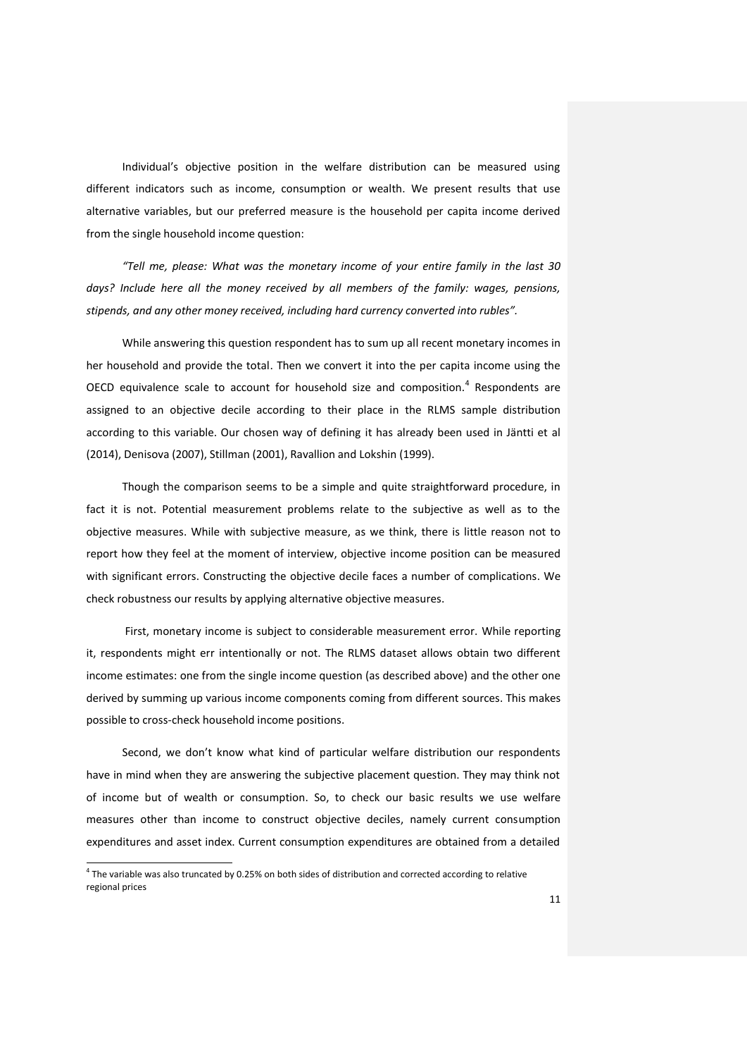Individual's objective position in the welfare distribution can be measured using different indicators such as income, consumption or wealth. We present results that use alternative variables, but our preferred measure is the household per capita income derived from the single household income question:

*"Tell me, please: What was the monetary income of your entire family in the last 30*  days? Include here all the money received by all members of the family: wages, pensions, *stipends, and any other money received, including hard currency converted into rubles".*

While answering this question respondent has to sum up all recent monetary incomes in her household and provide the total. Then we convert it into the per capita income using the OECD equivalence scale to account for household size and composition. $<sup>4</sup>$  Respondents are</sup> assigned to an objective decile according to their place in the RLMS sample distribution according to this variable. Our chosen way of defining it has already been used in Jäntti et al (2014), Denisova (2007), Stillman (2001), Ravallion and Lokshin (1999).

Though the comparison seems to be a simple and quite straightforward procedure, in fact it is not. Potential measurement problems relate to the subjective as well as to the objective measures. While with subjective measure, as we think, there is little reason not to report how they feel at the moment of interview, objective income position can be measured with significant errors. Constructing the objective decile faces a number of complications. We check robustness our results by applying alternative objective measures.

First, monetary income is subject to considerable measurement error. While reporting it, respondents might err intentionally or not. The RLMS dataset allows obtain two different income estimates: one from the single income question (as described above) and the other one derived by summing up various income components coming from different sources. This makes possible to cross-check household income positions.

Second, we don't know what kind of particular welfare distribution our respondents have in mind when they are answering the subjective placement question. They may think not of income but of wealth or consumption. So, to check our basic results we use welfare measures other than income to construct objective deciles, namely current consumption expenditures and asset index. Current consumption expenditures are obtained from a detailed

 $\overline{a}$ 

 $<sup>4</sup>$  The variable was also truncated by 0.25% on both sides of distribution and corrected according to relative</sup> regional prices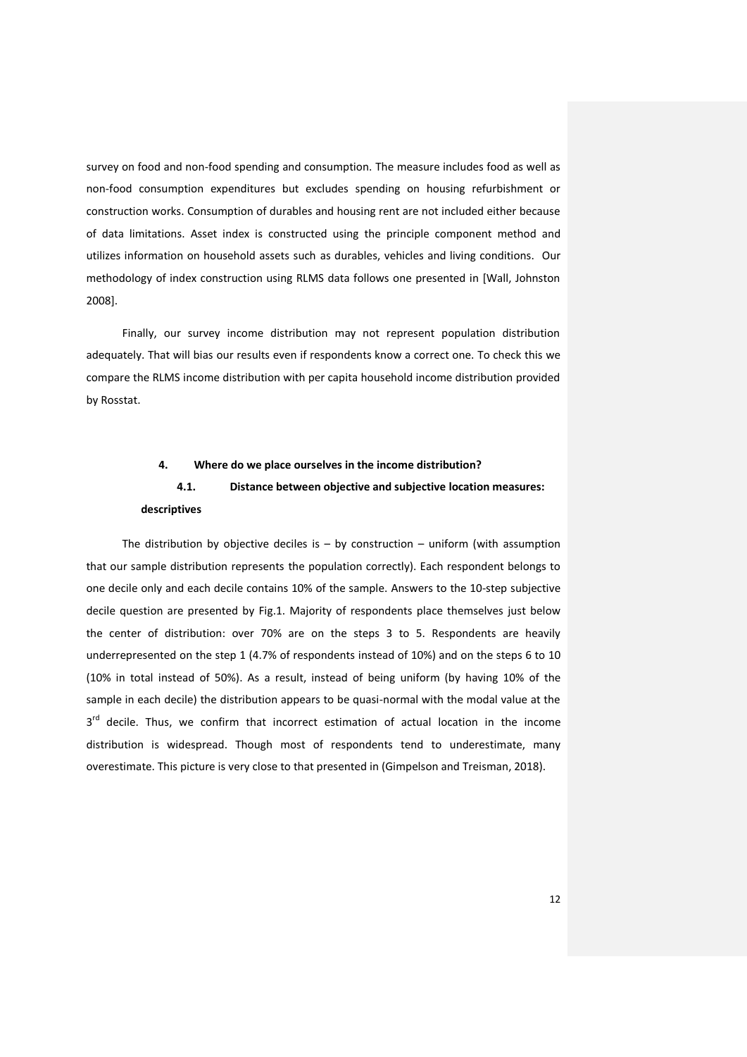survey on food and non-food spending and consumption. The measure includes food as well as non-food consumption expenditures but excludes spending on housing refurbishment or construction works. Consumption of durables and housing rent are not included either because of data limitations. Asset index is constructed using the principle component method and utilizes information on household assets such as durables, vehicles and living conditions. Our methodology of index construction using RLMS data follows one presented in [Wall, Johnston 2008].

Finally, our survey income distribution may not represent population distribution adequately. That will bias our results even if respondents know a correct one. To check this we compare the RLMS income distribution with per capita household income distribution provided by Rosstat.

## **4. Where do we place ourselves in the income distribution?**

# **4.1. Distance between objective and subjective location measures: descriptives**

The distribution by objective deciles is  $-$  by construction  $-$  uniform (with assumption that our sample distribution represents the population correctly). Each respondent belongs to one decile only and each decile contains 10% of the sample. Answers to the 10-step subjective decile question are presented by Fig.1. Majority of respondents place themselves just below the center of distribution: over 70% are on the steps 3 to 5. Respondents are heavily underrepresented on the step 1 (4.7% of respondents instead of 10%) and on the steps 6 to 10 (10% in total instead of 50%). As a result, instead of being uniform (by having 10% of the sample in each decile) the distribution appears to be quasi-normal with the modal value at the 3<sup>rd</sup> decile. Thus, we confirm that incorrect estimation of actual location in the income distribution is widespread. Though most of respondents tend to underestimate, many overestimate. This picture is very close to that presented in (Gimpelson and Treisman, 2018).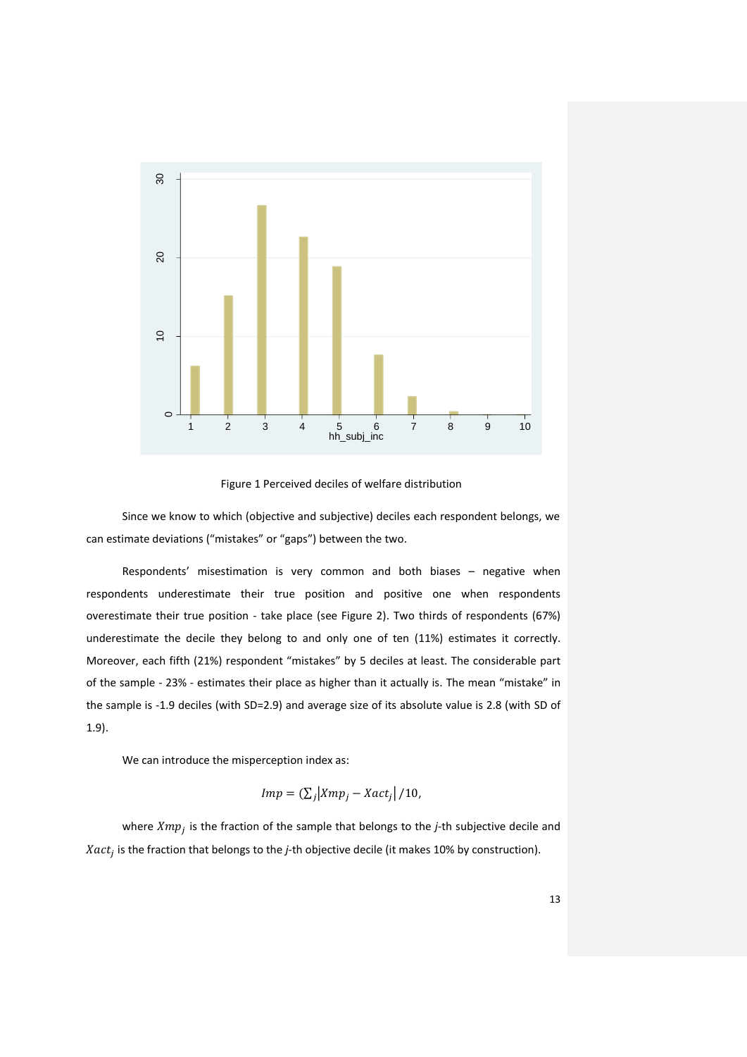

Figure 1 Perceived deciles of welfare distribution

Since we know to which (objective and subjective) deciles each respondent belongs, we can estimate deviations ("mistakes" or "gaps") between the two.

Respondents' misestimation is very common and both biases – negative when respondents underestimate their true position and positive one when respondents overestimate their true position - take place (see Figure 2). Two thirds of respondents (67%) underestimate the decile they belong to and only one of ten (11%) estimates it correctly. Moreover, each fifth (21%) respondent "mistakes" by 5 deciles at least. The considerable part of the sample - 23% - estimates their place as higher than it actually is. The mean "mistake" in the sample is -1.9 deciles (with SD=2.9) and average size of its absolute value is 2.8 (with SD of 1.9).

We can introduce the misperception index as:

$$
Imp = (\sum_j |Xmp_j - Xact_j| / 10,
$$

where  $Xmp_j$  is the fraction of the sample that belongs to the *j*-th subjective decile and *Xact<sub>j</sub>* is the fraction that belongs to the *j*-th objective decile (it makes 10% by construction).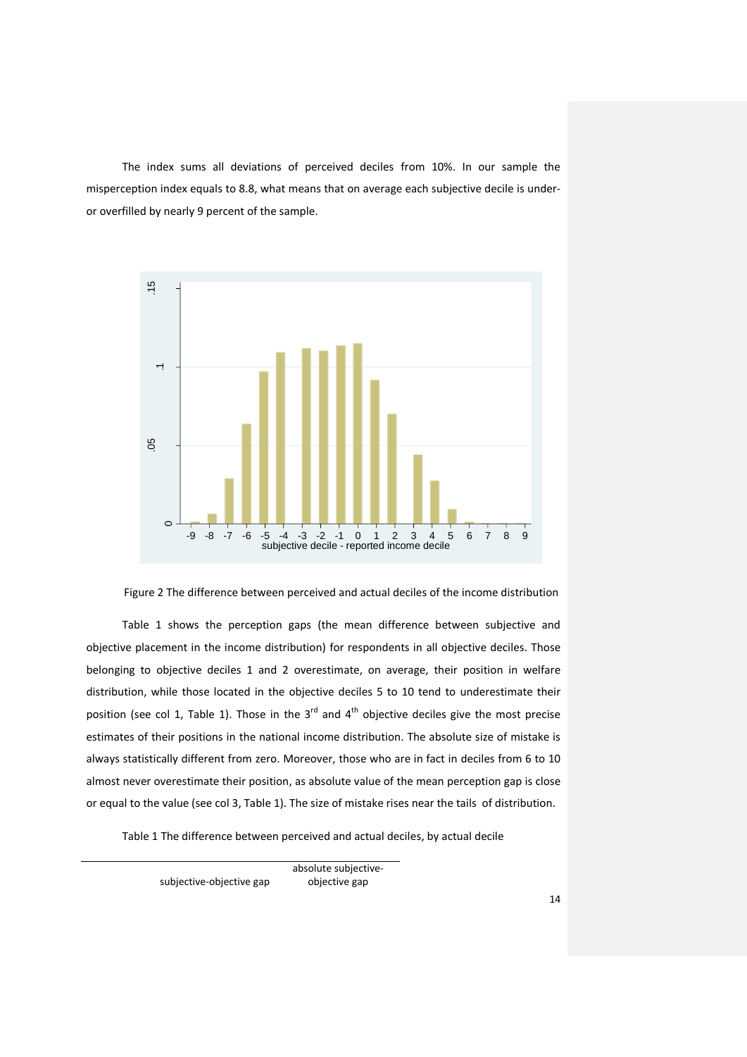The index sums all deviations of perceived deciles from 10%. In our sample the misperception index equals to 8.8, what means that on average each subjective decile is underor overfilled by nearly 9 percent of the sample.





Table 1 shows the perception gaps (the mean difference between subjective and objective placement in the income distribution) for respondents in all objective deciles. Those belonging to objective deciles 1 and 2 overestimate, on average, their position in welfare distribution, while those located in the objective deciles 5 to 10 tend to underestimate their position (see col 1, Table 1). Those in the  $3<sup>rd</sup>$  and  $4<sup>th</sup>$  objective deciles give the most precise estimates of their positions in the national income distribution. The absolute size of mistake is always statistically different from zero. Moreover, those who are in fact in deciles from 6 to 10 almost never overestimate their position, as absolute value of the mean perception gap is close or equal to the value (see col 3, Table 1). The size of mistake rises near the tails of distribution.

Table 1 The difference between perceived and actual deciles, by actual decile

subjective-objective gap

absolute subjectiveobjective gap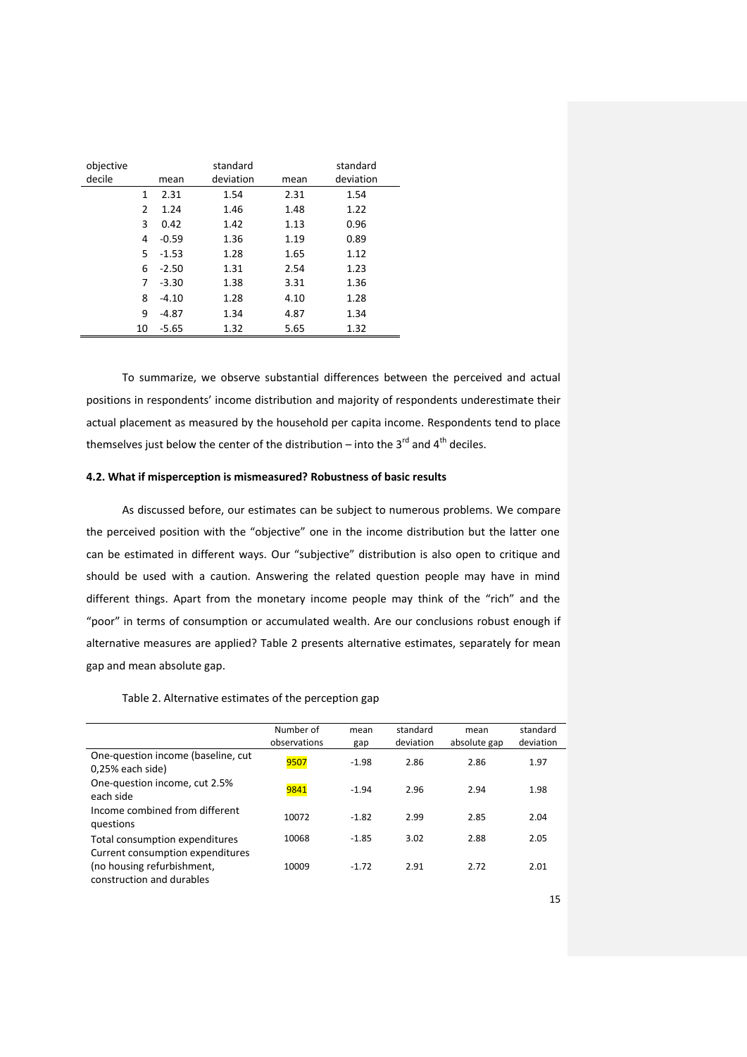| objective<br>decile |    | mean    | standard<br>deviation | mean | standard<br>deviation |
|---------------------|----|---------|-----------------------|------|-----------------------|
|                     | 1  | 2.31    | 1.54                  | 2.31 | 1.54                  |
|                     | 2  | 1.24    | 1.46                  | 1.48 | 1.22                  |
|                     | 3  | 0.42    | 1.42                  | 1.13 | 0.96                  |
|                     | 4  | $-0.59$ | 1.36                  | 1.19 | 0.89                  |
|                     | 5. | $-1.53$ | 1.28                  | 1.65 | 1.12                  |
|                     | 6  | $-2.50$ | 1.31                  | 2.54 | 1.23                  |
|                     | 7  | $-3.30$ | 1.38                  | 3.31 | 1.36                  |
|                     | 8  | $-4.10$ | 1.28                  | 4.10 | 1.28                  |
|                     | 9  | -4.87   | 1.34                  | 4.87 | 1.34                  |
|                     | 10 | $-5.65$ | 1.32                  | 5.65 | 1.32                  |

To summarize, we observe substantial differences between the perceived and actual positions in respondents' income distribution and majority of respondents underestimate their actual placement as measured by the household per capita income. Respondents tend to place themselves just below the center of the distribution – into the 3<sup>rd</sup> and 4<sup>th</sup> deciles.

## **4.2. What if misperception is mismeasured? Robustness of basic results**

As discussed before, our estimates can be subject to numerous problems. We compare the perceived position with the "objective" one in the income distribution but the latter one can be estimated in different ways. Our "subjective" distribution is also open to critique and should be used with a caution. Answering the related question people may have in mind different things. Apart from the monetary income people may think of the "rich" and the "poor" in terms of consumption or accumulated wealth. Are our conclusions robust enough if alternative measures are applied? Table 2 presents alternative estimates, separately for mean gap and mean absolute gap.

## Table 2. Alternative estimates of the perception gap

| Number of    | mean    | standard  | mean         | standard  |
|--------------|---------|-----------|--------------|-----------|
| observations | gap     | deviation | absolute gap | deviation |
| 9507         | $-1.98$ | 2.86      | 2.86         | 1.97      |
| 9841         | $-1.94$ | 2.96      | 2.94         | 1.98      |
| 10072        | $-1.82$ | 2.99      | 2.85         | 2.04      |
| 10068        | $-1.85$ | 3.02      | 2.88         | 2.05      |
|              |         |           |              |           |
| 10009        | $-1.72$ | 2.91      | 2.72         | 2.01      |
|              |         |           |              |           |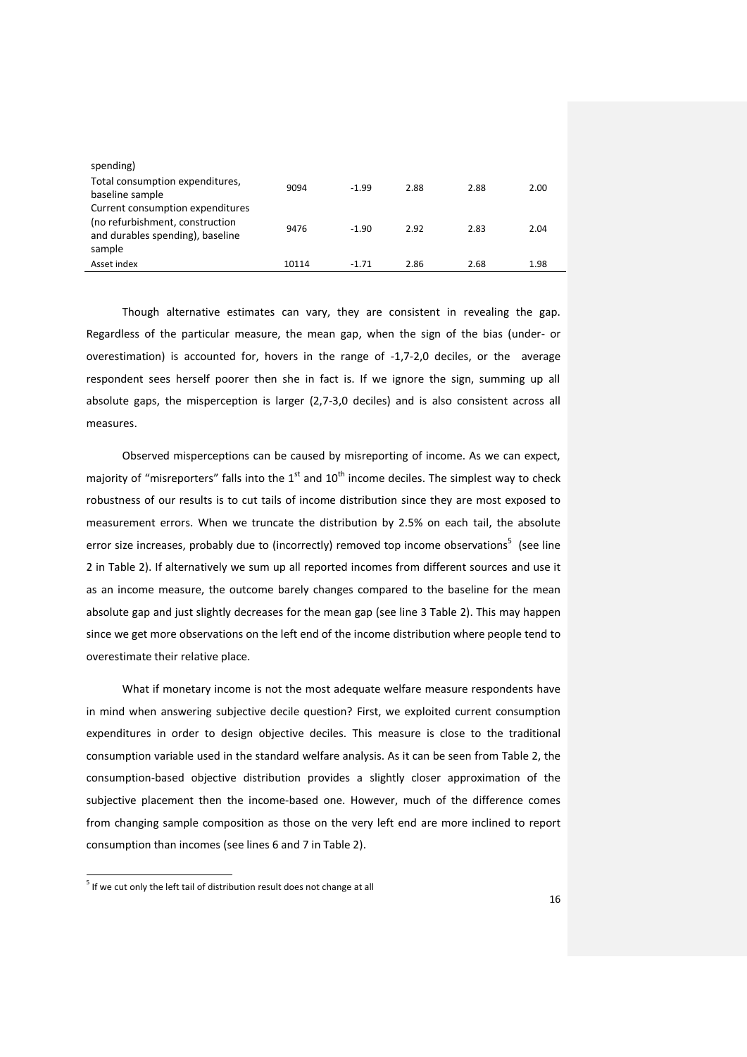| spending)                                                                                                         |       |         |      |      |      |
|-------------------------------------------------------------------------------------------------------------------|-------|---------|------|------|------|
| Total consumption expenditures,<br>baseline sample                                                                | 9094  | $-1.99$ | 2.88 | 2.88 | 2.00 |
| Current consumption expenditures<br>(no refurbishment, construction<br>and durables spending), baseline<br>sample | 9476  | $-1.90$ | 2.92 | 2.83 | 2.04 |
| Asset index                                                                                                       | 10114 | $-1.71$ | 2.86 | 2.68 | 1.98 |

Though alternative estimates can vary, they are consistent in revealing the gap. Regardless of the particular measure, the mean gap, when the sign of the bias (under- or overestimation) is accounted for, hovers in the range of -1,7-2,0 deciles, or the average respondent sees herself poorer then she in fact is. If we ignore the sign, summing up all absolute gaps, the misperception is larger (2,7-3,0 deciles) and is also consistent across all measures.

Observed misperceptions can be caused by misreporting of income. As we can expect, majority of "misreporters" falls into the  $1<sup>st</sup>$  and  $10<sup>th</sup>$  income deciles. The simplest way to check robustness of our results is to cut tails of income distribution since they are most exposed to measurement errors. When we truncate the distribution by 2.5% on each tail, the absolute error size increases, probably due to (incorrectly) removed top income observations<sup>5</sup> (see line 2 in Table 2). If alternatively we sum up all reported incomes from different sources and use it as an income measure, the outcome barely changes compared to the baseline for the mean absolute gap and just slightly decreases for the mean gap (see line 3 Table 2). This may happen since we get more observations on the left end of the income distribution where people tend to overestimate their relative place.

What if monetary income is not the most adequate welfare measure respondents have in mind when answering subjective decile question? First, we exploited current consumption expenditures in order to design objective deciles. This measure is close to the traditional consumption variable used in the standard welfare analysis. As it can be seen from Table 2, the consumption-based objective distribution provides a slightly closer approximation of the subjective placement then the income-based one. However, much of the difference comes from changing sample composition as those on the very left end are more inclined to report consumption than incomes (see lines 6 and 7 in Table 2).

<sup>&</sup>lt;sup>5</sup> If we cut only the left tail of distribution result does not change at all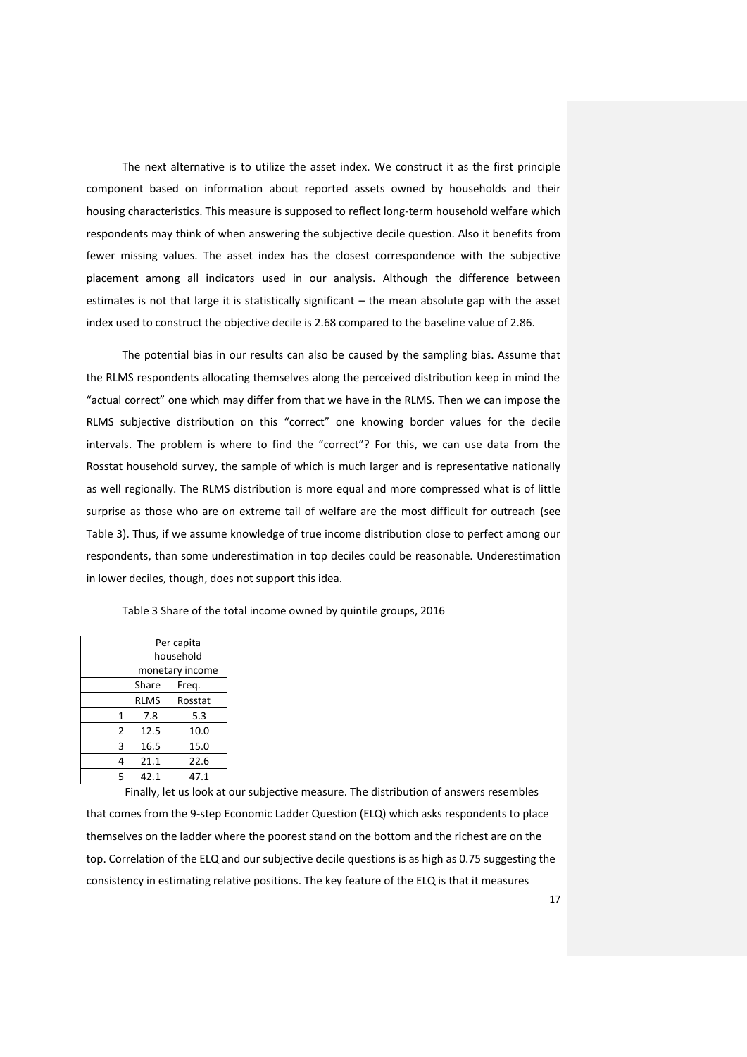The next alternative is to utilize the asset index. We construct it as the first principle component based on information about reported assets owned by households and their housing characteristics. This measure is supposed to reflect long-term household welfare which respondents may think of when answering the subjective decile question. Also it benefits from fewer missing values. The asset index has the closest correspondence with the subjective placement among all indicators used in our analysis. Although the difference between estimates is not that large it is statistically significant – the mean absolute gap with the asset index used to construct the objective decile is 2.68 compared to the baseline value of 2.86.

The potential bias in our results can also be caused by the sampling bias. Assume that the RLMS respondents allocating themselves along the perceived distribution keep in mind the "actual correct" one which may differ from that we have in the RLMS. Then we can impose the RLMS subjective distribution on this "correct" one knowing border values for the decile intervals. The problem is where to find the "correct"? For this, we can use data from the Rosstat household survey, the sample of which is much larger and is representative nationally as well regionally. The RLMS distribution is more equal and more compressed what is of little surprise as those who are on extreme tail of welfare are the most difficult for outreach (see Table 3). Thus, if we assume knowledge of true income distribution close to perfect among our respondents, than some underestimation in top deciles could be reasonable. Underestimation in lower deciles, though, does not support this idea.

|   | Per capita<br>household |                 |  |  |
|---|-------------------------|-----------------|--|--|
|   |                         |                 |  |  |
|   |                         | monetary income |  |  |
|   | Share<br>Freq.          |                 |  |  |
|   | <b>RLMS</b>             | Rosstat         |  |  |
| 1 | 7.8                     | 5.3             |  |  |
| 2 | 12.5                    | 10.0            |  |  |
| 3 | 16.5                    | 15.0            |  |  |
| 4 | 21.1                    | 22.6            |  |  |
| 5 | 42.1                    | 47.1            |  |  |

Table 3 Share of the total income owned by quintile groups, 2016

Finally, let us look at our subjective measure. The distribution of answers resembles that comes from the 9-step Economic Ladder Question (ELQ) which asks respondents to place themselves on the ladder where the poorest stand on the bottom and the richest are on the top. Correlation of the ELQ and our subjective decile questions is as high as 0.75 suggesting the consistency in estimating relative positions. The key feature of the ELQ is that it measures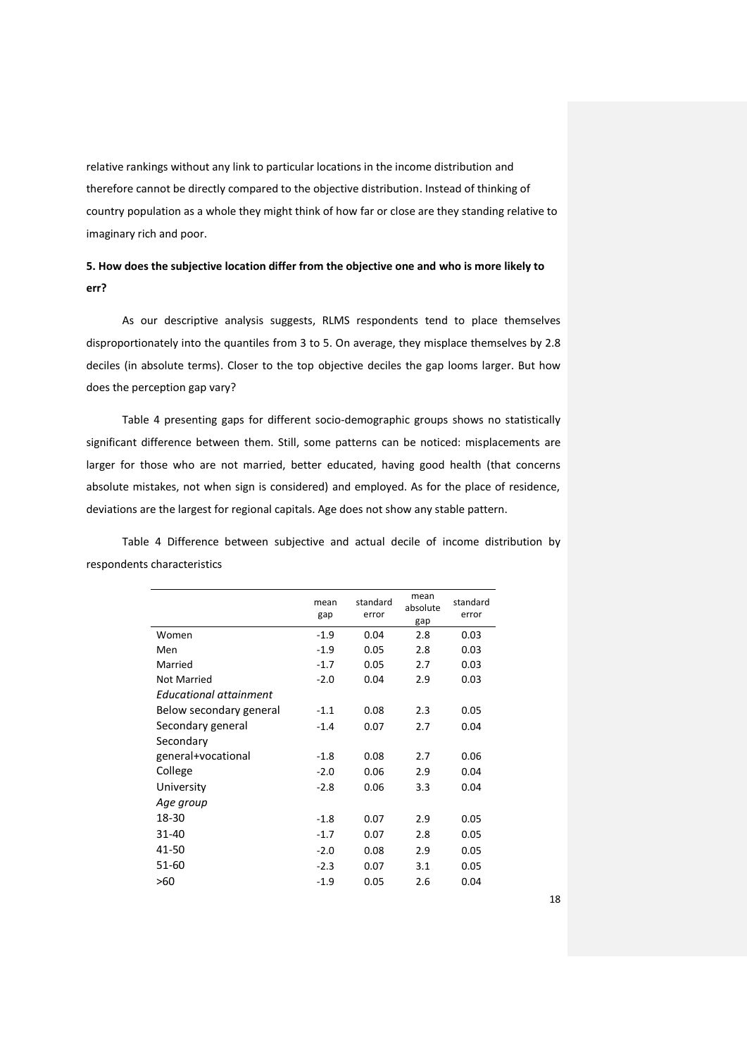relative rankings without any link to particular locations in the income distribution and therefore cannot be directly compared to the objective distribution. Instead of thinking of country population as a whole they might think of how far or close are they standing relative to imaginary rich and poor.

# **5. How does the subjective location differ from the objective one and who is more likely to err?**

As our descriptive analysis suggests, RLMS respondents tend to place themselves disproportionately into the quantiles from 3 to 5. On average, they misplace themselves by 2.8 deciles (in absolute terms). Closer to the top objective deciles the gap looms larger. But how does the perception gap vary?

Table 4 presenting gaps for different socio-demographic groups shows no statistically significant difference between them. Still, some patterns can be noticed: misplacements are larger for those who are not married, better educated, having good health (that concerns absolute mistakes, not when sign is considered) and employed. As for the place of residence, deviations are the largest for regional capitals. Age does not show any stable pattern.

Table 4 Difference between subjective and actual decile of income distribution by respondents characteristics

|                         | mean<br>gap | standard<br>error | mean<br>absolute<br>gap | standard<br>error |
|-------------------------|-------------|-------------------|-------------------------|-------------------|
| Women                   | $-1.9$      | 0.04              | 2.8                     | 0.03              |
| Men                     | $-1.9$      | 0.05              | 2.8                     | 0.03              |
| Married                 | $-1.7$      | 0.05              | 2.7                     | 0.03              |
| Not Married             | $-2.0$      | 0.04              | 2.9                     | 0.03              |
| Educational attainment  |             |                   |                         |                   |
| Below secondary general | $-1.1$      | 0.08              | 2.3                     | 0.05              |
| Secondary general       | $-1.4$      | 0.07              | 2.7                     | 0.04              |
| Secondary               |             |                   |                         |                   |
| general+vocational      | $-1.8$      | 0.08              | 2.7                     | 0.06              |
| College                 | $-2.0$      | 0.06              | 2.9                     | 0.04              |
| University              | $-2.8$      | 0.06              | 3.3                     | 0.04              |
| Age group               |             |                   |                         |                   |
| 18-30                   | $-1.8$      | 0.07              | 2.9                     | 0.05              |
| 31-40                   | $-1.7$      | 0.07              | 2.8                     | 0.05              |
| 41-50                   | $-2.0$      | 0.08              | 2.9                     | 0.05              |
| 51-60                   | $-2.3$      | 0.07              | 3.1                     | 0.05              |
| >60                     | $-1.9$      | 0.05              | 2.6                     | 0.04              |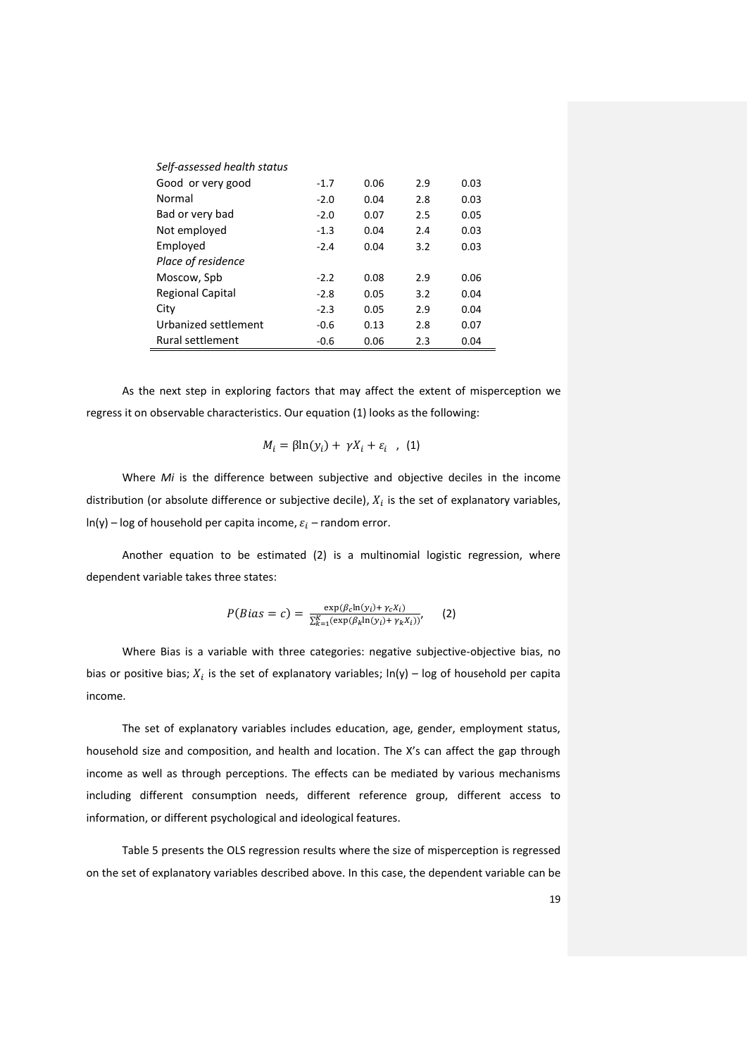| Self-assessed health status |        |      |     |      |
|-----------------------------|--------|------|-----|------|
| Good or very good           | $-1.7$ | 0.06 | 2.9 | 0.03 |
| Normal                      | $-2.0$ | 0.04 | 2.8 | 0.03 |
| Bad or very bad             | $-2.0$ | 0.07 | 2.5 | 0.05 |
| Not employed                | $-1.3$ | 0.04 | 2.4 | 0.03 |
| Employed                    | $-2.4$ | 0.04 | 3.2 | 0.03 |
| Place of residence          |        |      |     |      |
| Moscow, Spb                 | $-2.2$ | 0.08 | 2.9 | 0.06 |
| <b>Regional Capital</b>     | $-2.8$ | 0.05 | 3.2 | 0.04 |
| City                        | $-2.3$ | 0.05 | 2.9 | 0.04 |
| Urbanized settlement        | $-0.6$ | 0.13 | 2.8 | 0.07 |
| Rural settlement            | $-0.6$ | 0.06 | 2.3 | 0.04 |

As the next step in exploring factors that may affect the extent of misperception we regress it on observable characteristics. Our equation (1) looks as the following:

$$
M_i = \beta \ln(y_i) + \gamma X_i + \varepsilon_i \quad , \quad (1)
$$

Where *Mi* is the difference between subjective and objective deciles in the income distribution (or absolute difference or subjective decile),  $X_i$  is the set of explanatory variables,  $ln(y)$  – log of household per capita income,  $\varepsilon_i$  – random error.

Another equation to be estimated (2) is a multinomial logistic regression, where dependent variable takes three states:

$$
P(Bias = c) = \frac{\exp(\beta_c \ln(y_i) + \gamma_c X_i)}{\sum_{k=1}^{K} (\exp(\beta_k \ln(y_i) + \gamma_k X_i))'},
$$
 (2)

Where Bias is a variable with three categories: negative subjective-objective bias, no bias or positive bias;  $X_i$  is the set of explanatory variables; ln(y) – log of household per capita income.

The set of explanatory variables includes education, age, gender, employment status, household size and composition, and health and location. The X's can affect the gap through income as well as through perceptions. The effects can be mediated by various mechanisms including different consumption needs, different reference group, different access to information, or different psychological and ideological features.

Table 5 presents the OLS regression results where the size of misperception is regressed on the set of explanatory variables described above. In this case, the dependent variable can be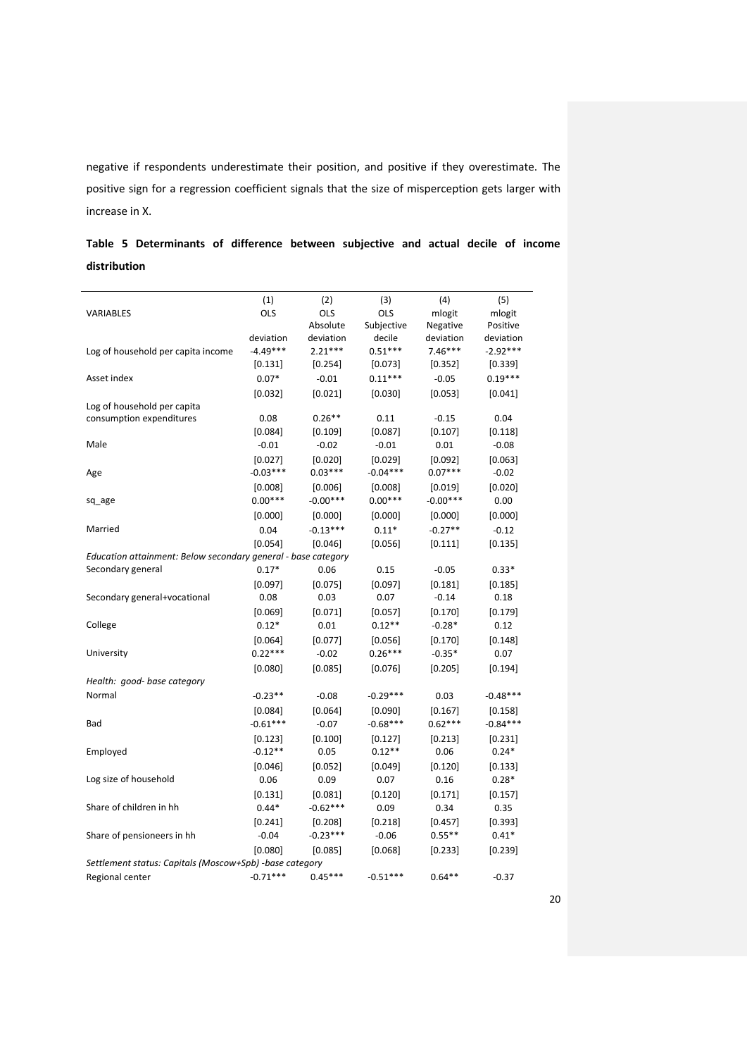negative if respondents underestimate their position, and positive if they overestimate. The positive sign for a regression coefficient signals that the size of misperception gets larger with increase in X.

|              | Table 5 Determinants of difference between subjective and actual decile of income |  |  |  |  |  |
|--------------|-----------------------------------------------------------------------------------|--|--|--|--|--|
| distribution |                                                                                   |  |  |  |  |  |

|                                                               | (1)        | (2)        | (3)        | (4)        | (5)        |
|---------------------------------------------------------------|------------|------------|------------|------------|------------|
| <b>VARIABLES</b>                                              | OLS        | <b>OLS</b> | OLS        | mlogit     | mlogit     |
|                                                               |            | Absolute   | Subjective | Negative   | Positive   |
|                                                               | deviation  | deviation  | decile     | deviation  | deviation  |
| Log of household per capita income                            | $-4.49***$ | $2.21***$  | $0.51***$  | $7.46***$  | $-2.92***$ |
|                                                               | [0.131]    | [0.254]    | [0.073]    | [0.352]    | [0.339]    |
| Asset index                                                   | $0.07*$    | $-0.01$    | $0.11***$  | $-0.05$    | $0.19***$  |
|                                                               | [0.032]    | [0.021]    | [0.030]    | [0.053]    | [0.041]    |
| Log of household per capita                                   |            |            |            |            |            |
| consumption expenditures                                      | 0.08       | $0.26**$   | 0.11       | $-0.15$    | 0.04       |
|                                                               | [0.084]    | [0.109]    | [0.087]    | [0.107]    | [0.118]    |
| Male                                                          | $-0.01$    | $-0.02$    | $-0.01$    | 0.01       | $-0.08$    |
|                                                               | [0.027]    | [0.020]    | [0.029]    | [0.092]    | [0.063]    |
| Age                                                           | $-0.03***$ | $0.03***$  | $-0.04***$ | $0.07***$  | $-0.02$    |
|                                                               | [0.008]    | [0.006]    | [0.008]    | [0.019]    | [0.020]    |
| sq_age                                                        | $0.00***$  | $-0.00***$ | $0.00***$  | $-0.00***$ | 0.00       |
|                                                               | [0.000]    | [0.000]    | [0.000]    | [0.000]    | [0.000]    |
| Married                                                       | 0.04       | $-0.13***$ | $0.11*$    | $-0.27**$  | $-0.12$    |
|                                                               | [0.054]    | [0.046]    | [0.056]    | [0.111]    | [0.135]    |
| Education attainment: Below secondary general - base category |            |            |            |            |            |
| Secondary general                                             | $0.17*$    | 0.06       | 0.15       | $-0.05$    | $0.33*$    |
|                                                               | [0.097]    | [0.075]    | [0.097]    | [0.181]    | [0.185]    |
| Secondary general+vocational                                  | 0.08       | 0.03       | 0.07       | $-0.14$    | 0.18       |
|                                                               | [0.069]    | [0.071]    | [0.057]    | [0.170]    | [0.179]    |
| College                                                       | $0.12*$    | 0.01       | $0.12**$   | $-0.28*$   | 0.12       |
|                                                               | [0.064]    | [0.077]    | [0.056]    | [0.170]    | [0.148]    |
| University                                                    | $0.22***$  | $-0.02$    | $0.26***$  | $-0.35*$   | 0.07       |
|                                                               | [0.080]    | [0.085]    | [0.076]    | [0.205]    | [0.194]    |
| Health: good- base category                                   |            |            |            |            |            |
| Normal                                                        | $-0.23**$  | $-0.08$    | $-0.29***$ | 0.03       | $-0.48***$ |
|                                                               | $[0.084]$  | [0.064]    | [0.090]    | [0.167]    | [0.158]    |
| Bad                                                           | $-0.61***$ | $-0.07$    | $-0.68***$ | $0.62***$  | $-0.84***$ |
|                                                               | [0.123]    | [0.100]    | [0.127]    | [0.213]    | [0.231]    |
| Employed                                                      | $-0.12**$  | 0.05       | $0.12**$   | 0.06       | $0.24*$    |
|                                                               | [0.046]    | [0.052]    | [0.049]    | [0.120]    | [0.133]    |
| Log size of household                                         | 0.06       | 0.09       | 0.07       | 0.16       | $0.28*$    |
|                                                               | [0.131]    | [0.081]    | [0.120]    | [0.171]    | [0.157]    |
| Share of children in hh                                       | $0.44*$    | $-0.62***$ | 0.09       | 0.34       | 0.35       |
|                                                               | [0.241]    | [0.208]    | [0.218]    | [0.457]    | [0.393]    |
| Share of pensioneers in hh                                    | $-0.04$    | $-0.23***$ | $-0.06$    | $0.55***$  | $0.41*$    |
|                                                               | [0.080]    | [0.085]    | [0.068]    | [0.233]    | [0.239]    |
| Settlement status: Capitals (Moscow+Spb) -base category       |            |            |            |            |            |
| Regional center                                               | $-0.71***$ | $0.45***$  | $-0.51***$ | $0.64**$   | $-0.37$    |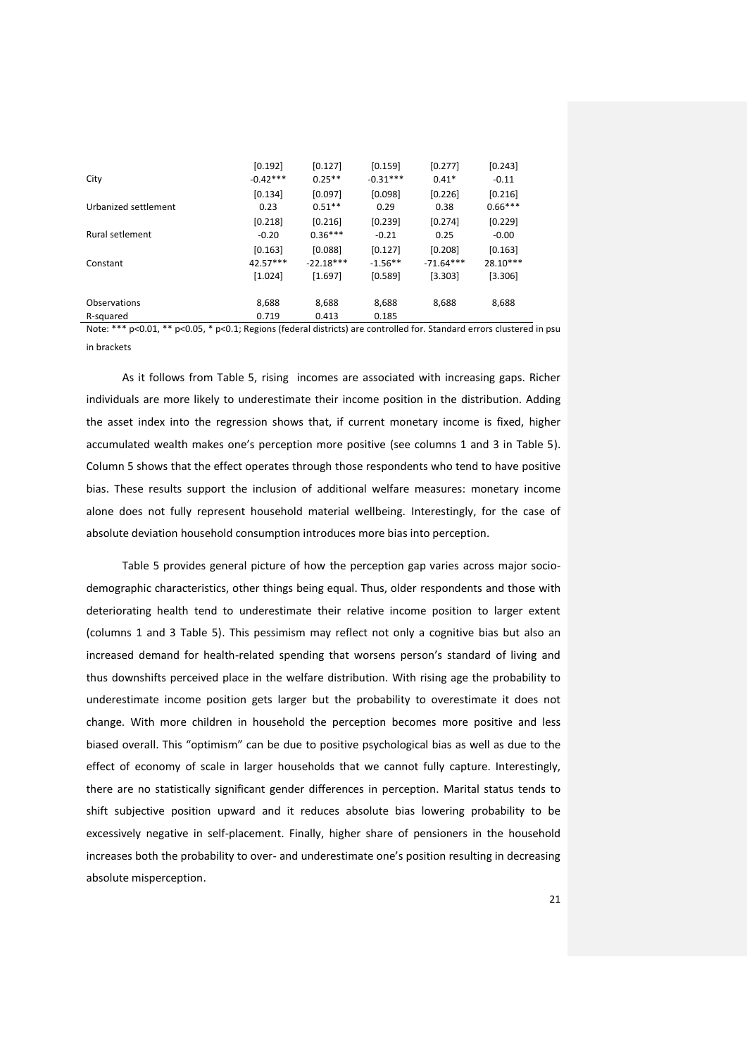| City                 | [0.192]<br>$-0.42***$ | [0.127]<br>$0.25**$ | [0.159]<br>$-0.31***$ | [0.277]<br>$0.41*$ | [0.243]<br>$-0.11$ |
|----------------------|-----------------------|---------------------|-----------------------|--------------------|--------------------|
|                      | [0.134]               | [0.097]             | [0.098]               | [0.226]            | [0.216]            |
| Urbanized settlement | 0.23                  | $0.51**$            | 0.29                  | 0.38               | $0.66***$          |
|                      | $[0.218]$             | [0.216]             | [0.239]               | [0.274]            | [0.229]            |
| Rural setlement      | $-0.20$               | $0.36***$           | $-0.21$               | 0.25               | $-0.00$            |
|                      | [0.163]               | [0.088]             | [0.127]               | [0.208]            | [0.163]            |
| Constant             | $42.57***$            | $-22.18***$         | $-1.56**$             | $-71.64***$        | $28.10***$         |
|                      | $[1.024]$             | [1.697]             | [0.589]               | [3.303]            | [3.306]            |
| Observations         | 8,688                 | 8,688               | 8,688                 | 8,688              | 8,688              |
| R-squared            | 0.719                 | 0.413               | 0.185                 |                    |                    |

Note: \*\*\* p<0.01, \*\* p<0.05, \* p<0.1; Regions (federal districts) are controlled for. Standard errors clustered in psu in brackets

As it follows from Table 5, rising incomes are associated with increasing gaps. Richer individuals are more likely to underestimate their income position in the distribution. Adding the asset index into the regression shows that, if current monetary income is fixed, higher accumulated wealth makes one's perception more positive (see columns 1 and 3 in Table 5). Column 5 shows that the effect operates through those respondents who tend to have positive bias. These results support the inclusion of additional welfare measures: monetary income alone does not fully represent household material wellbeing. Interestingly, for the case of absolute deviation household consumption introduces more bias into perception.

Table 5 provides general picture of how the perception gap varies across major sociodemographic characteristics, other things being equal. Thus, older respondents and those with deteriorating health tend to underestimate their relative income position to larger extent (columns 1 and 3 Table 5). This pessimism may reflect not only a cognitive bias but also an increased demand for health-related spending that worsens person's standard of living and thus downshifts perceived place in the welfare distribution. With rising age the probability to underestimate income position gets larger but the probability to overestimate it does not change. With more children in household the perception becomes more positive and less biased overall. This "optimism" can be due to positive psychological bias as well as due to the effect of economy of scale in larger households that we cannot fully capture. Interestingly, there are no statistically significant gender differences in perception. Marital status tends to shift subjective position upward and it reduces absolute bias lowering probability to be excessively negative in self-placement. Finally, higher share of pensioners in the household increases both the probability to over- and underestimate one's position resulting in decreasing absolute misperception.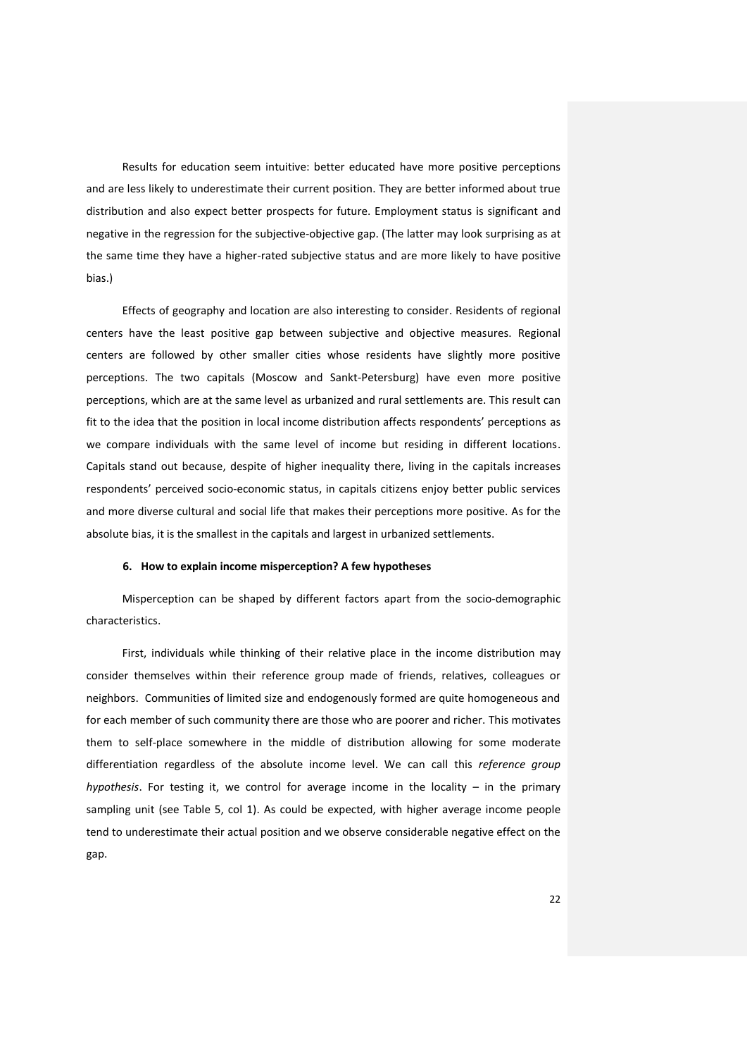Results for education seem intuitive: better educated have more positive perceptions and are less likely to underestimate their current position. They are better informed about true distribution and also expect better prospects for future. Employment status is significant and negative in the regression for the subjective-objective gap. (The latter may look surprising as at the same time they have a higher-rated subjective status and are more likely to have positive bias.)

Effects of geography and location are also interesting to consider. Residents of regional centers have the least positive gap between subjective and objective measures. Regional centers are followed by other smaller cities whose residents have slightly more positive perceptions. The two capitals (Moscow and Sankt-Petersburg) have even more positive perceptions, which are at the same level as urbanized and rural settlements are. This result can fit to the idea that the position in local income distribution affects respondents' perceptions as we compare individuals with the same level of income but residing in different locations. Capitals stand out because, despite of higher inequality there, living in the capitals increases respondents' perceived socio-economic status, in capitals citizens enjoy better public services and more diverse cultural and social life that makes their perceptions more positive. As for the absolute bias, it is the smallest in the capitals and largest in urbanized settlements.

#### **6. How to explain income misperception? A few hypotheses**

Misperception can be shaped by different factors apart from the socio-demographic characteristics.

First, individuals while thinking of their relative place in the income distribution may consider themselves within their reference group made of friends, relatives, colleagues or neighbors. Communities of limited size and endogenously formed are quite homogeneous and for each member of such community there are those who are poorer and richer. This motivates them to self-place somewhere in the middle of distribution allowing for some moderate differentiation regardless of the absolute income level. We can call this *reference group hypothesis*. For testing it, we control for average income in the locality – in the primary sampling unit (see Table 5, col 1). As could be expected, with higher average income people tend to underestimate their actual position and we observe considerable negative effect on the gap.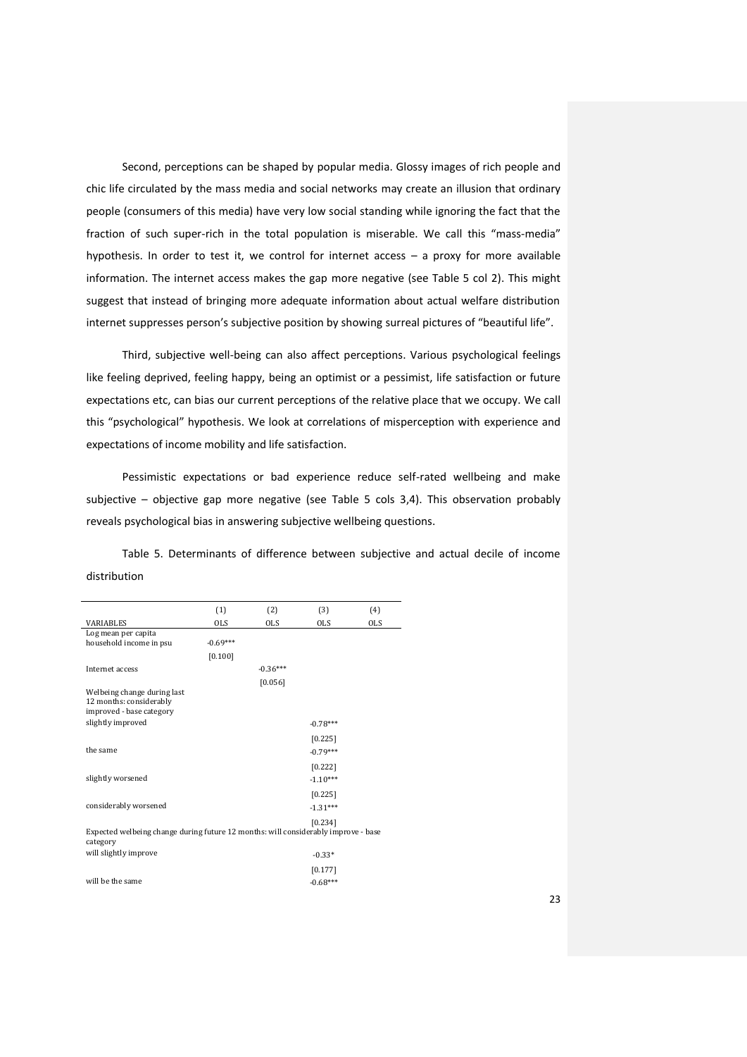Second, perceptions can be shaped by popular media. Glossy images of rich people and chic life circulated by the mass media and social networks may create an illusion that ordinary people (consumers of this media) have very low social standing while ignoring the fact that the fraction of such super-rich in the total population is miserable. We call this "mass-media" hypothesis. In order to test it, we control for internet access – a proxy for more available information. The internet access makes the gap more negative (see Table 5 col 2). This might suggest that instead of bringing more adequate information about actual welfare distribution internet suppresses person's subjective position by showing surreal pictures of "beautiful life".

Third, subjective well-being can also affect perceptions. Various psychological feelings like feeling deprived, feeling happy, being an optimist or a pessimist, life satisfaction or future expectations etc, can bias our current perceptions of the relative place that we occupy. We call this "psychological" hypothesis. We look at correlations of misperception with experience and expectations of income mobility and life satisfaction.

Pessimistic expectations or bad experience reduce self-rated wellbeing and make subjective – objective gap more negative (see Table 5 cols 3,4). This observation probably reveals psychological bias in answering subjective wellbeing questions.

Table 5. Determinants of difference between subjective and actual decile of income distribution

|                                                                                                | (1)        | (2)        | (3)        | (4)        |
|------------------------------------------------------------------------------------------------|------------|------------|------------|------------|
| <b>VARIABLES</b>                                                                               | <b>OLS</b> | <b>OLS</b> | <b>OLS</b> | <b>OLS</b> |
| Log mean per capita                                                                            |            |            |            |            |
| household income in psu                                                                        | $-0.69***$ |            |            |            |
|                                                                                                | [0.100]    |            |            |            |
| Internet access                                                                                |            | $-0.36***$ |            |            |
|                                                                                                |            | [0.056]    |            |            |
| Welbeing change during last<br>12 months: considerably<br>improved - base category             |            |            |            |            |
| slightly improved                                                                              |            |            | $-0.78***$ |            |
|                                                                                                |            |            | [0.225]    |            |
| the same                                                                                       |            |            | $-0.79***$ |            |
|                                                                                                |            |            | [0.222]    |            |
| slightly worsened                                                                              |            |            | $-1.10***$ |            |
|                                                                                                |            |            | [0.225]    |            |
| considerably worsened                                                                          |            |            | $-1.31***$ |            |
|                                                                                                |            |            | [0.234]    |            |
| Expected welbeing change during future 12 months: will considerably improve - base<br>category |            |            |            |            |
| will slightly improve                                                                          |            |            | $-0.33*$   |            |
|                                                                                                |            |            | [0.177]    |            |
| will be the same                                                                               |            |            | $-0.68***$ |            |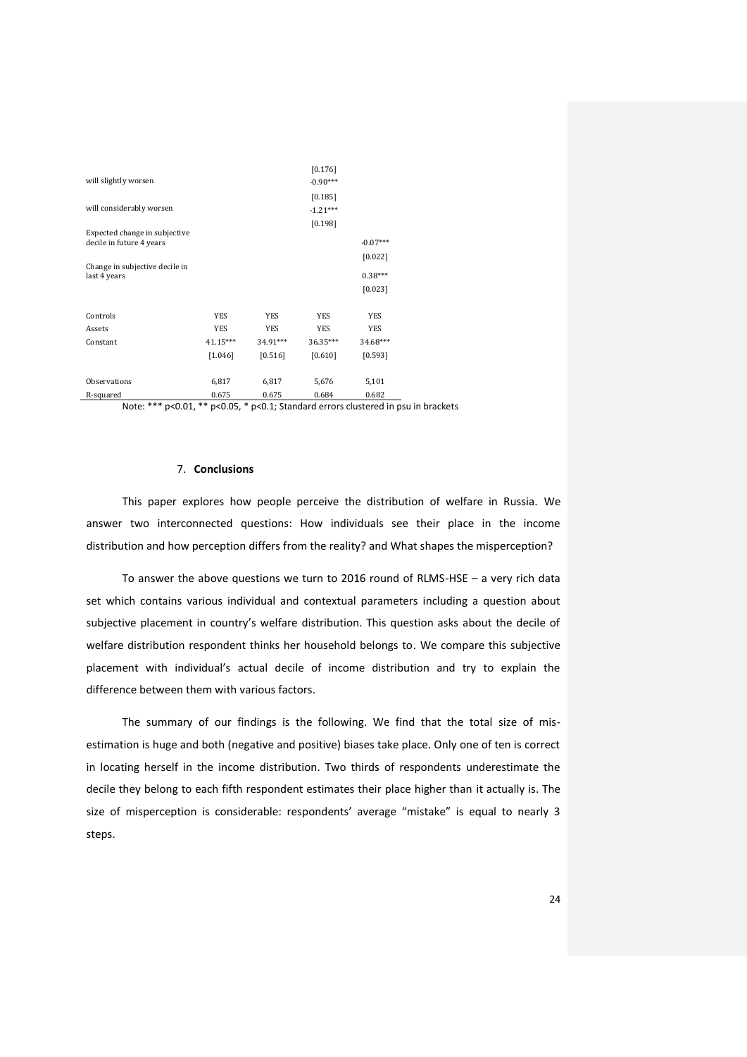|                                |            |            | [0.176]    |            |
|--------------------------------|------------|------------|------------|------------|
| will slightly worsen           |            |            | $-0.90***$ |            |
|                                |            |            | [0.185]    |            |
| will considerably worsen       |            |            | $-1.21***$ |            |
|                                |            |            | [0.198]    |            |
| Expected change in subjective  |            |            |            |            |
| decile in future 4 years       |            |            |            | $-0.07***$ |
|                                |            |            |            | [0.022]    |
| Change in subjective decile in |            |            |            | $0.38***$  |
| last 4 years                   |            |            |            |            |
|                                |            |            |            | [0.023]    |
|                                |            |            |            |            |
| Controls                       | <b>YES</b> | <b>YES</b> | <b>YES</b> | <b>YES</b> |
| Assets                         | <b>YES</b> | <b>YES</b> | <b>YES</b> | <b>YES</b> |
| Constant                       | 41.15***   | 34.91***   | 36.35***   | 34.68***   |
|                                | [1.046]    | [0.516]    | [0.610]    | [0.593]    |
|                                |            |            |            |            |
| <b>Observations</b>            | 6,817      | 6,817      | 5,676      | 5,101      |
| R-squared                      | 0.675      | 0.675      | 0.684      | 0.682      |

Note: \*\*\* p<0.01, \*\* p<0.05, \* p<0.1; Standard errors clustered in psu in brackets

## 7. **Conclusions**

This paper explores how people perceive the distribution of welfare in Russia. We answer two interconnected questions: How individuals see their place in the income distribution and how perception differs from the reality? and What shapes the misperception?

To answer the above questions we turn to 2016 round of RLMS-HSE – a very rich data set which contains various individual and contextual parameters including a question about subjective placement in country's welfare distribution. This question asks about the decile of welfare distribution respondent thinks her household belongs to. We compare this subjective placement with individual's actual decile of income distribution and try to explain the difference between them with various factors.

The summary of our findings is the following. We find that the total size of misestimation is huge and both (negative and positive) biases take place. Only one of ten is correct in locating herself in the income distribution. Two thirds of respondents underestimate the decile they belong to each fifth respondent estimates their place higher than it actually is. The size of misperception is considerable: respondents' average "mistake" is equal to nearly 3 steps.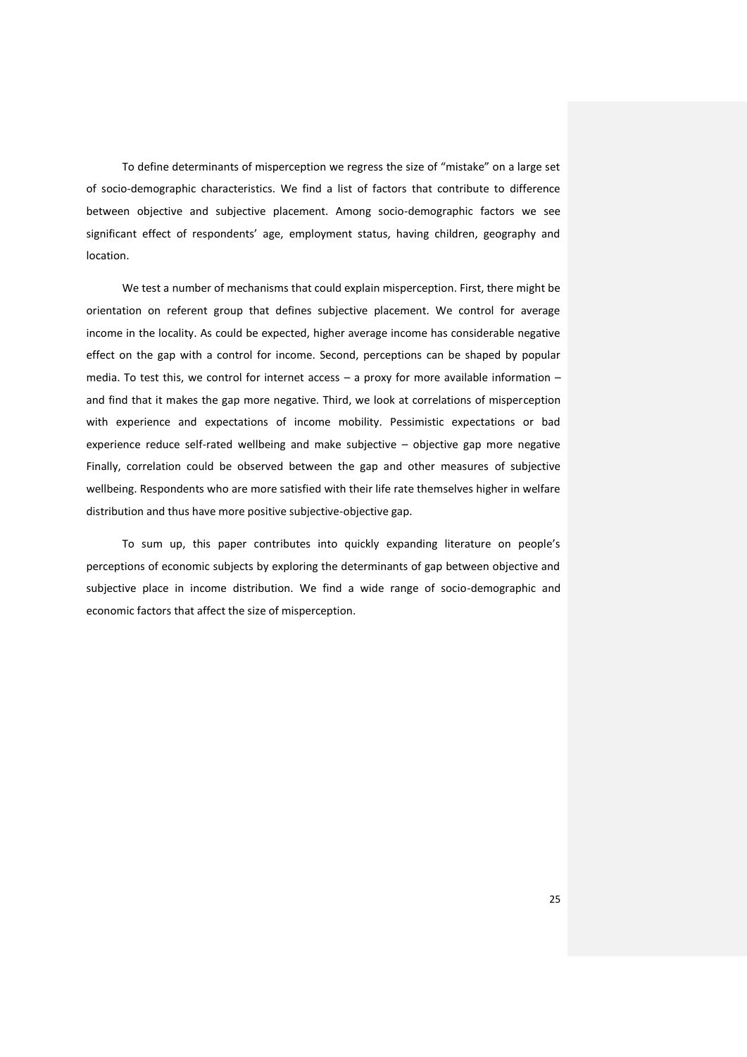To define determinants of misperception we regress the size of "mistake" on a large set of socio-demographic characteristics. We find a list of factors that contribute to difference between objective and subjective placement. Among socio-demographic factors we see significant effect of respondents' age, employment status, having children, geography and location.

We test a number of mechanisms that could explain misperception. First, there might be orientation on referent group that defines subjective placement. We control for average income in the locality. As could be expected, higher average income has considerable negative effect on the gap with a control for income. Second, perceptions can be shaped by popular media. To test this, we control for internet access – a proxy for more available information – and find that it makes the gap more negative. Third, we look at correlations of misperception with experience and expectations of income mobility. Pessimistic expectations or bad experience reduce self-rated wellbeing and make subjective – objective gap more negative Finally, correlation could be observed between the gap and other measures of subjective wellbeing. Respondents who are more satisfied with their life rate themselves higher in welfare distribution and thus have more positive subjective-objective gap.

To sum up, this paper contributes into quickly expanding literature on people's perceptions of economic subjects by exploring the determinants of gap between objective and subjective place in income distribution. We find a wide range of socio-demographic and economic factors that affect the size of misperception.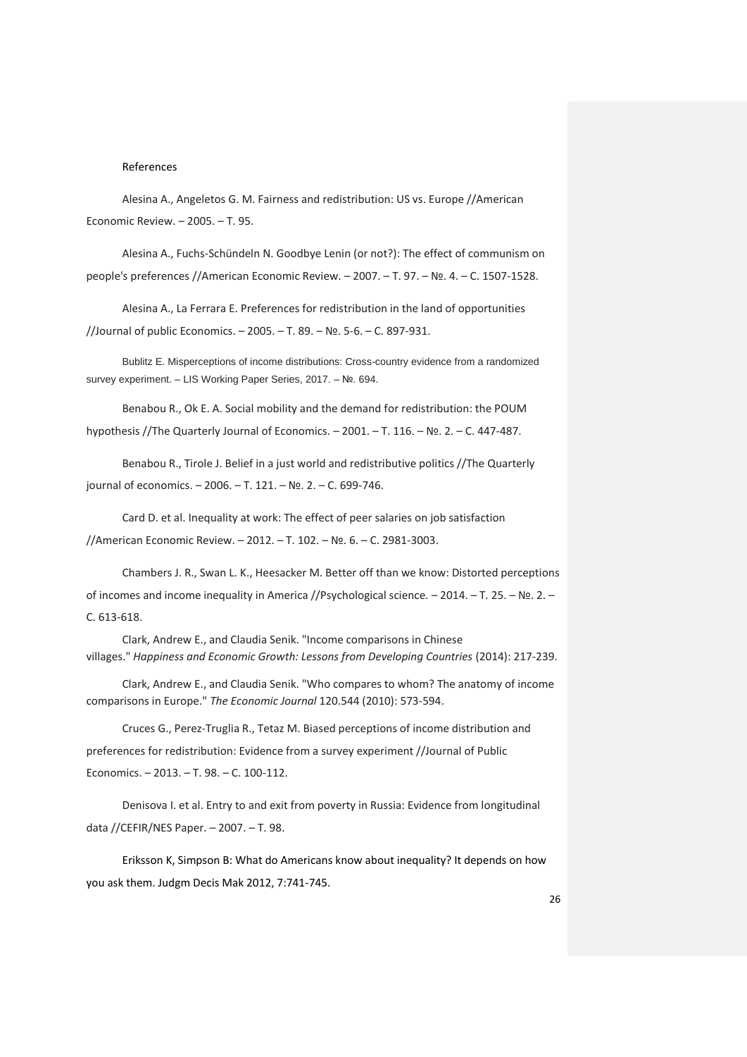#### References

Alesina A., Angeletos G. M. Fairness and redistribution: US vs. Europe //American Economic Review. – 2005. – Т. 95.

Alesina A., Fuchs-Schündeln N. Goodbye Lenin (or not?): The effect of communism on people's preferences //American Economic Review. – 2007. – Т. 97. – №. 4. – С. 1507-1528.

Alesina A., La Ferrara E. Preferences for redistribution in the land of opportunities //Journal of public Economics. – 2005. – Т. 89. – №. 5-6. – С. 897-931.

Bublitz E. Misperceptions of income distributions: Cross-country evidence from a randomized survey experiment. – LIS Working Paper Series, 2017. – №. 694.

Benabou R., Ok E. A. Social mobility and the demand for redistribution: the POUM hypothesis //The Quarterly Journal of Economics. – 2001. – Т. 116. – №. 2. – С. 447-487.

Benabou R., Tirole J. Belief in a just world and redistributive politics //The Quarterly journal of economics. – 2006. – Т. 121. – №. 2. – С. 699-746.

Card D. et al. Inequality at work: The effect of peer salaries on job satisfaction //American Economic Review. – 2012. – Т. 102. – №. 6. – С. 2981-3003.

Chambers J. R., Swan L. K., Heesacker M. Better off than we know: Distorted perceptions of incomes and income inequality in America //Psychological science. – 2014. – Т. 25. – №. 2. – С. 613-618.

Clark, Andrew E., and Claudia Senik. "Income comparisons in Chinese villages." *Happiness and Economic Growth: Lessons from Developing Countries* (2014): 217-239.

Clark, Andrew E., and Claudia Senik. "Who compares to whom? The anatomy of income comparisons in Europe." *The Economic Journal* 120.544 (2010): 573-594.

Cruces G., Perez-Truglia R., Tetaz M. Biased perceptions of income distribution and preferences for redistribution: Evidence from a survey experiment //Journal of Public Economics. – 2013. – Т. 98. – С. 100-112.

Denisova I. et al. Entry to and exit from poverty in Russia: Evidence from longitudinal data //CEFIR/NES Paper. – 2007. – Т. 98.

Eriksson K, Simpson B: What do Americans know about inequality? It depends on how you ask them. Judgm Decis Mak 2012, 7:741-745.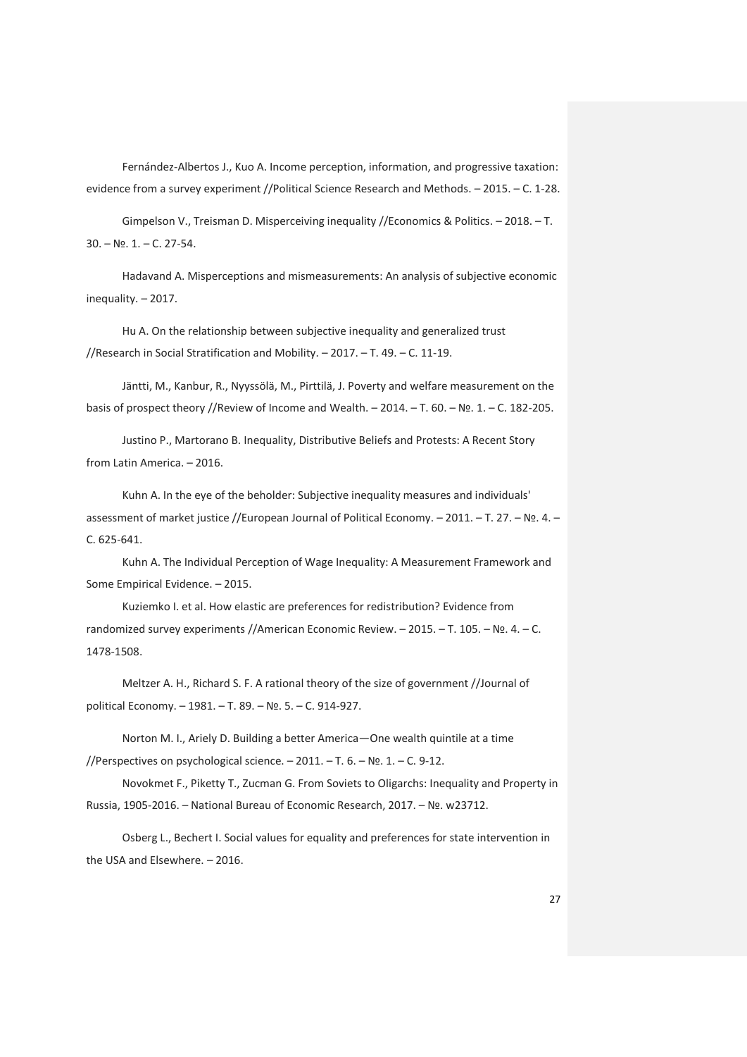Fernández-Albertos J., Kuo A. Income perception, information, and progressive taxation: evidence from a survey experiment //Political Science Research and Methods. – 2015. – С. 1-28.

Gimpelson V., Treisman D. Misperceiving inequality //Economics & Politics. – 2018. – Т. 30. – №. 1. – С. 27-54.

Hadavand A. Misperceptions and mismeasurements: An analysis of subjective economic inequality. – 2017.

Hu A. On the relationship between subjective inequality and generalized trust //Research in Social Stratification and Mobility. – 2017. – Т. 49. – С. 11-19.

Jäntti, M., Kanbur, R., Nyyssölä, M., Pirttilä, J. Poverty and welfare measurement on the basis of prospect theory //Review of Income and Wealth. – 2014. – Т. 60. – №. 1. – С. 182-205.

Justino P., Martorano B. Inequality, Distributive Beliefs and Protests: A Recent Story from Latin America. – 2016.

Kuhn A. In the eye of the beholder: Subjective inequality measures and individuals' assessment of market justice //European Journal of Political Economy. – 2011. – Т. 27. – №. 4. – С. 625-641.

Kuhn A. The Individual Perception of Wage Inequality: A Measurement Framework and Some Empirical Evidence. – 2015.

Kuziemko I. et al. How elastic are preferences for redistribution? Evidence from randomized survey experiments //American Economic Review. – 2015. – T. 105. – №. 4. – C. 1478-1508.

Meltzer A. H., Richard S. F. A rational theory of the size of government //Journal of political Economy. – 1981. – Т. 89. – №. 5. – С. 914-927.

Norton M. I., Ariely D. Building a better America—One wealth quintile at a time //Perspectives on psychological science. – 2011. – Т. 6. – №. 1. – С. 9-12.

Novokmet F., Piketty T., Zucman G. From Soviets to Oligarchs: Inequality and Property in Russia, 1905-2016. – National Bureau of Economic Research, 2017. – №. w23712.

Osberg L., Bechert I. Social values for equality and preferences for state intervention in the USA and Elsewhere. – 2016.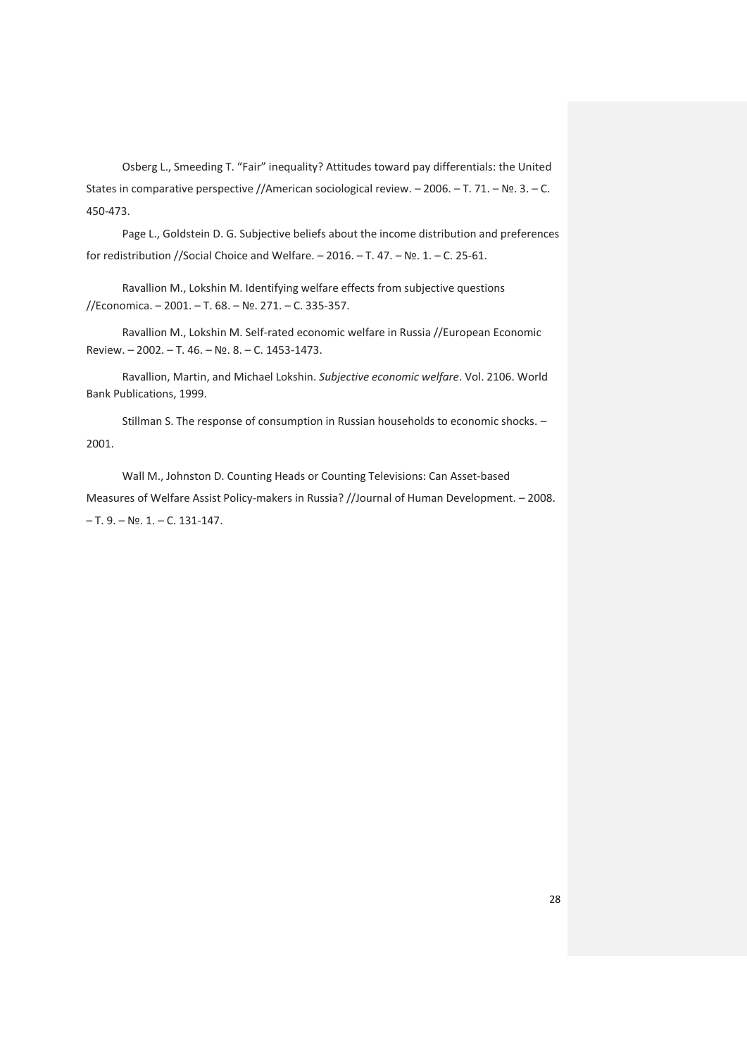Osberg L., Smeeding T. "Fair" inequality? Attitudes toward pay differentials: the United States in comparative perspective //American sociological review. – 2006. – Т. 71. – №. 3. – С. 450-473.

Page L., Goldstein D. G. Subjective beliefs about the income distribution and preferences for redistribution //Social Choice and Welfare. – 2016. – Т. 47. – №. 1. – С. 25-61.

Ravallion M., Lokshin M. Identifying welfare effects from subjective questions //Economica. – 2001. – Т. 68. – №. 271. – С. 335-357.

Ravallion M., Lokshin M. Self-rated economic welfare in Russia //European Economic Review. – 2002. – Т. 46. – №. 8. – С. 1453-1473.

Ravallion, Martin, and Michael Lokshin. *Subjective economic welfare*. Vol. 2106. World Bank Publications, 1999.

Stillman S. The response of consumption in Russian households to economic shocks. – 2001.

Wall M., Johnston D. Counting Heads or Counting Televisions: Can Asset‐based Measures of Welfare Assist Policy-makers in Russia? //Journal of Human Development. - 2008. – Т. 9. – №. 1. – С. 131-147.